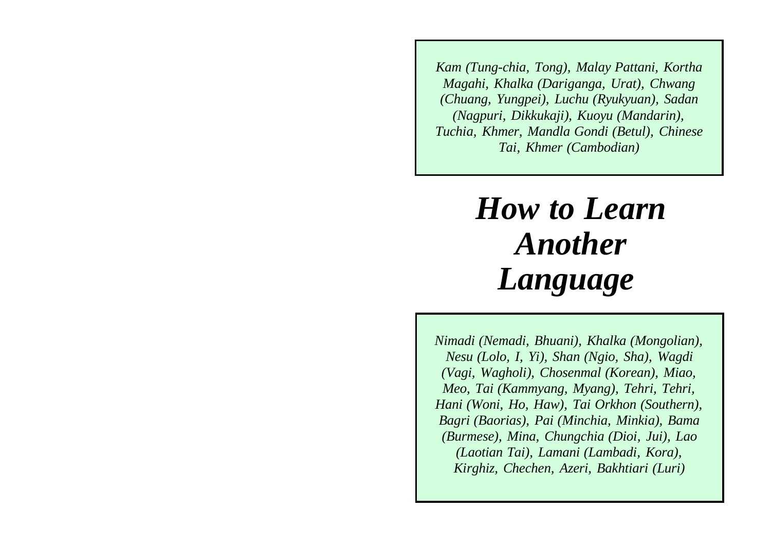*Kam (Tung-chia, Tong), Malay Pattani, Kortha Magahi, Khalka (Dariganga, Urat), Chwang (Chuang, Yungpei), Luchu (Ryukyuan), Sadan (Nagpuri, Dikkukaji), Kuoyu (Mandarin), Tuchia, Khmer, Mandla Gondi (Betul), Chinese Tai, Khmer (Cambodian)*

# *How to LearnAnother Language*

*Nimadi (Nemadi, Bhuani), Khalka (Mongolian), Nesu (Lolo, I, Yi), Shan (Ngio, Sha), Wagdi (Vagi, Wagholi), Chosenmal (Korean), Miao, Meo, Tai (Kammyang, Myang), Tehri, Tehri, Hani (Woni, Ho, Haw), Tai Orkhon (Southern), Bagri (Baorias), Pai (Minchia, Minkia), Bama (Burmese), Mina, Chungchia (Dioi, Jui), Lao (Laotian Tai), Lamani (Lambadi, Kora), Kirghiz, Chechen, Azeri, Bakhtiari (Luri)*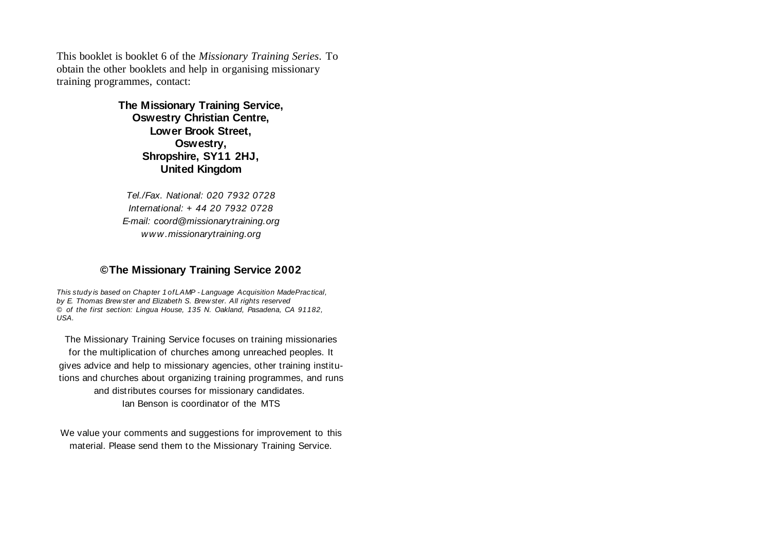This booklet is booklet 6 of the *Missionary Training Series*. To obtain the other booklets and help in organising missionary training programmes, contact:

> **The Missionary Training Service, Oswestry Christian Centre, Lower Brook Street, Oswestry, Shropshire, SY11 2HJ, United Kingdom**

Tel./Fax. National: 020 7932 0728International: + 44 20 7932 0728E-mail: coord@missionarytraining.org www.missionarytraining.org

#### **© The Missionary Training Service 2002**

This study is based on Chapter 1 of LAMP - Language Acquisition Made Practical, by E. Thomas Brew ster and Elizabeth S. Brew ster. All rights reserved © of the first section: Lingua House, 135 N. Oakland, Pasadena, CA 91182, USA.

The Missionary Training Service focuses on training missionaries for the multiplication of churches among unreached peoples. It gives advice and help to missionary agencies, other training institutions and churches about organizing training programmes, and runs and distributes courses for missionary candidates. Ian Benson is coordinator of the MTS

We value your comments and suggestions for improvement to this material. Please send them to the Missionary Training Service.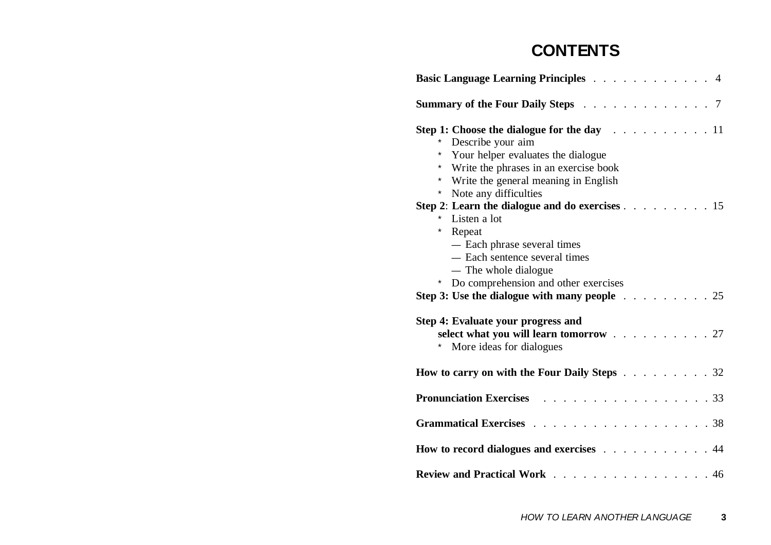## **CONTENTS**

| Basic Language Learning Principles 4                                                                                                                                                                                              |
|-----------------------------------------------------------------------------------------------------------------------------------------------------------------------------------------------------------------------------------|
| <b>Summary of the Four Daily Steps</b> 7                                                                                                                                                                                          |
| Step 1: Choose the dialogue for the day $\ldots$ 11<br>Describe your aim<br>Your helper evaluates the dialogue<br>*<br>Write the phrases in an exercise book<br>* Write the general meaning in English<br>* Note any difficulties |
| Step 2: Learn the dialogue and do exercises $\ldots$ 15<br>Listen a lot<br>*<br>Repeat<br>- Each phrase several times<br>- Each sentence several times<br>— The whole dialogue<br>Do comprehension and other exercises<br>$\star$ |
| Step 3: Use the dialogue with many people $\ldots$ 25                                                                                                                                                                             |
| Step 4: Evaluate your progress and<br>select what you will learn tomorrow 27<br>More ideas for dialogues                                                                                                                          |
| <b>How to carry on with the Four Daily Steps</b> 32                                                                                                                                                                               |
| <b>Pronunciation Exercises 100 Lines</b><br>$\ldots \ldots 33$                                                                                                                                                                    |
|                                                                                                                                                                                                                                   |
| How to record dialogues and exercises 44                                                                                                                                                                                          |
| Review and Practical Work 46                                                                                                                                                                                                      |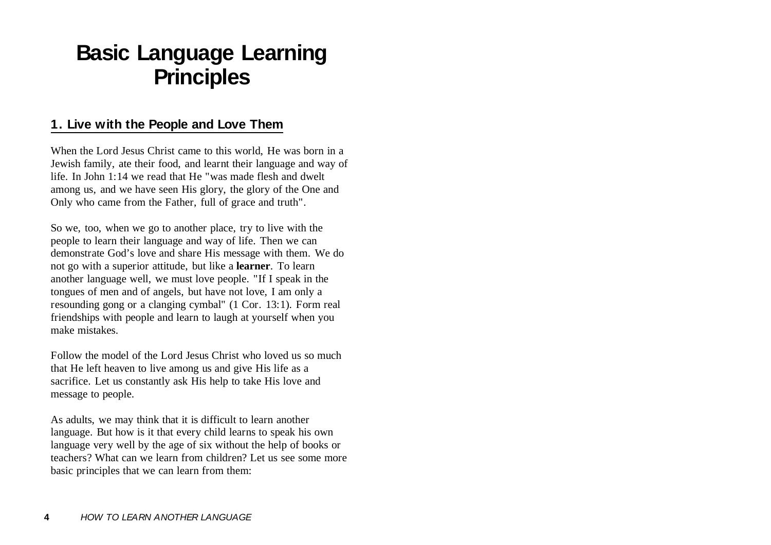## **Basic Language Learning Principles**

## **1. Live with the People and Love Them**

When the Lord Jesus Christ came to this world. He was born in a Jewish family, ate their food, and learnt their language and way of life. In John 1:14 we read that He "was made flesh and dweltamong us, and we have seen His glory, the glory of the One and Only who came from the Father, full of grace and truth".

So we, too, when we go to another place, try to live with the people to learn their language and way of life. Then we can demonstrate God's love and share His message with them. We do not go with a superior attitude, but like a **learner**. To learn another language well, we must love people. "If I speak in the tongues of men and of angels, but have not love, I am only a resounding gong or a clanging cymbal" (1 Cor. 13:1). Form real friendships with people and learn to laugh at yourself when you make mistakes.

Follow the model of the Lord Jesus Christ who loved us so muchthat He left heaven to live among us and give His life as a sacrifice. Let us constantly ask His help to take His love and message to people.

As adults, we may think that it is difficult to learn another language. But how is it that every child learns to speak his own language very well by the age of six without the help of books or teachers? What can we learn from children? Let us see some morebasic principles that we can learn from them: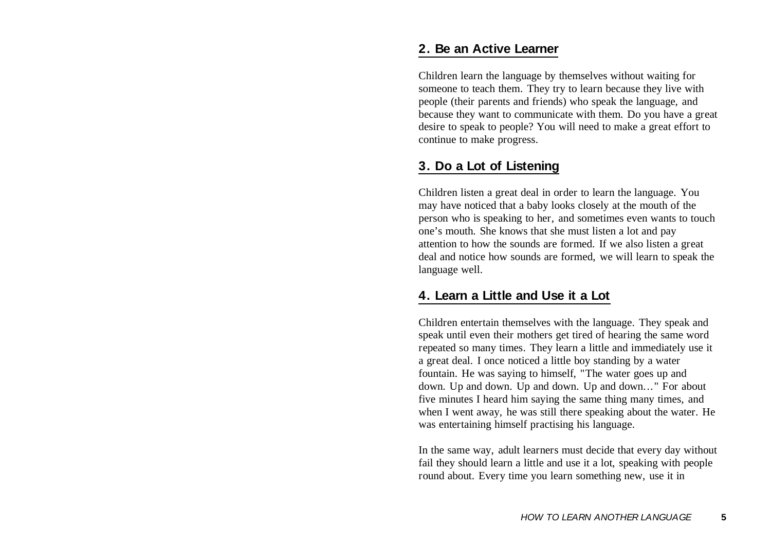### **2. Be an Active Learner**

Children learn the language by themselves without waiting for someone to teach them. They try to learn because they live with people (their parents and friends) who speak the language, and because they want to communicate with them. Do you have a great desire to speak to people? You will need to make a great effort to continue to make progress.

### **3. Do a Lot of Listening**

Children listen a great deal in order to learn the language. You may have noticed that a baby looks closely at the mouth of the person who is speaking to her, and sometimes even wants to touch one's mouth. She knows that she must listen a lot and pay attention to how the sounds are formed. If we also listen a great deal and notice how sounds are formed, we will learn to speak the language well.

#### **4. Learn a Little and Use it a Lot**

Children entertain themselves with the language. They speak and speak until even their mothers get tired of hearing the same word repeated so many times. They learn a little and immediately use it a great deal. I once noticed a little boy standing by a water fountain. He was saying to himself, "The water goes up and down. Up and down. Up and down. Up and down..." For about five minutes I heard him saying the same thing many times, and when I went away, he was still there speaking about the water. He was entertaining himself practising his language.

In the same way, adult learners must decide that every day without fail they should learn a little and use it a lot, speaking with people round about. Every time you learn something new, use it in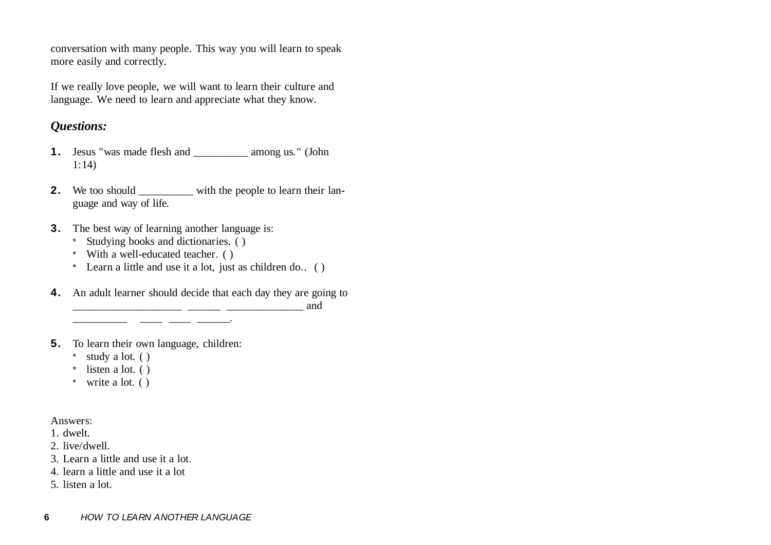conversation with many people. This way you will learn to speak more easily and correctly.

If we really love people, we will want to learn their culture and language. We need to learn and appreciate what they know.

## *Questions:*

- **1.** Jesus "was made flesh and \_\_\_\_\_\_\_\_\_\_ among us." (John 1:14)
- **2.** We too should \_\_\_\_\_\_\_\_\_\_ with the people to learn their language and way of life.
- **3.** The best way of learning another language is:

\_\_\_\_\_\_\_\_\_\_ \_\_\_\_ \_\_\_\_ \_\_\_\_\_\_.

- \* Studying books and dictionaries. ( )
- \* With a well-educated teacher. ( )
- \* Learn a little and use it a lot, just as children do.. ( )
- **4.** An adult learner should decide that each day they are going to \_\_\_\_\_\_\_\_\_\_\_\_\_\_\_\_\_\_\_\_ \_\_\_\_\_\_ \_\_\_\_\_\_\_\_\_\_\_\_\_\_ and
- **5.** To learn their own language, children:
	- \* study a lot. ( )
	- \* listen a lot. ( )
	- \* write a lot. ( )

#### Answers:

1. dwelt.

- 2. live/dwell.
- 3. Learn a little and use it a lot.
- 4. learn a little and use it a lot
- 5. listen a lot.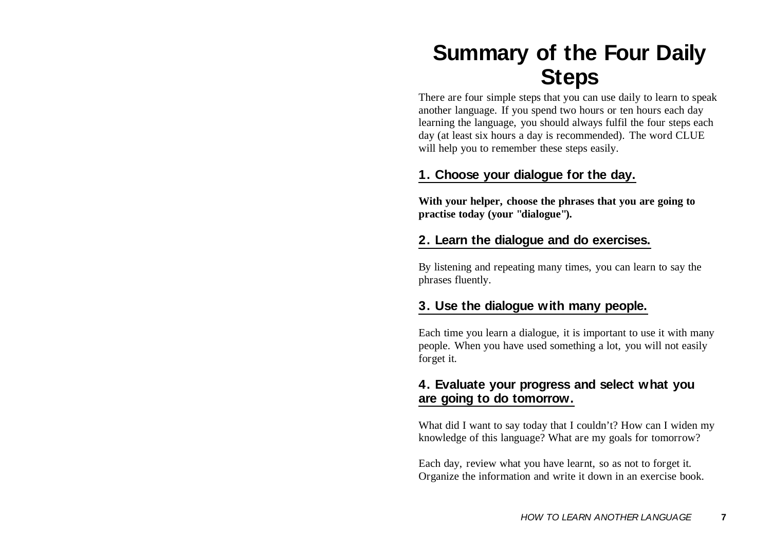## **Summary of the Four Daily Steps**

There are four simple steps that you can use daily to learn to speak another language. If you spend two hours or ten hours each day learning the language, you should always fulfil the four steps each day (at least six hours a day is recommended). The word CLUE will help you to remember these steps easily.

## **1. Choose your dialogue for the day.**

**With your helper, choose the phrases that you are going to practise today (your "dialogue").**

## **2. Learn the dialogue and do exercises.**

By listening and repeating many times, you can learn to say the phrases fluently.

## **3. Use the dialogue with many people.**

Each time you learn a dialogue, it is important to use it with many people. When you have used something a lot, you will not easily forget it.

## **4. Evaluate your progress and select what you are going to do tomorrow.**

What did I want to say today that I couldn't? How can I widen my knowledge of this language? What are my goals for tomorrow?

Each day, review what you have learnt, so as not to forget it. Organize the information and write it down in an exercise book.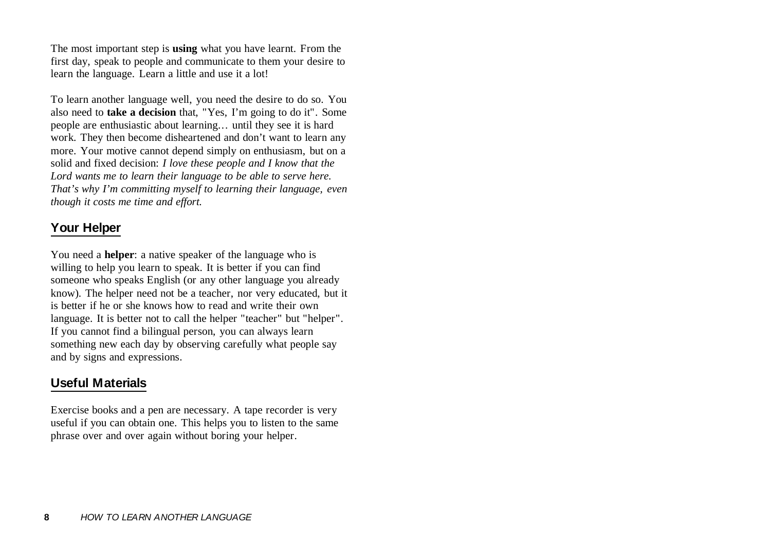The most important step is **using** what you have learnt. From the first day, speak to people and communicate to them your desire to learn the language. Learn a little and use it a lot!

To learn another language well, you need the desire to do so. You also need to **take a decision** that, "Yes, I'm going to do it". Some people are enthusiastic about learning... until they see it is hard work. They then become disheartened and don't want to learn any more. Your motive cannot depend simply on enthusiasm, but on a solid and fixed decision: *I love these people and I know that the Lord wants me to learn their language to be able to serve here. That's why I'm committing myself to learning their language, even though it costs me time and effort.*

## **Your Helper**

You need a **helper**: a native speaker of the language who is willing to help you learn to speak. It is better if you can find someone who speaks English (or any other language you already know). The helper need not be a teacher, nor very educated, but it is better if he or she knows how to read and write their ownlanguage. It is better not to call the helper "teacher" but "helper". If you cannot find a bilingual person, you can always learn something new each day by observing carefully what people say and by signs and expressions.

## **Useful Materials**

Exercise books and a pen are necessary. A tape recorder is very useful if you can obtain one. This helps you to listen to the same phrase over and over again without boring your helper.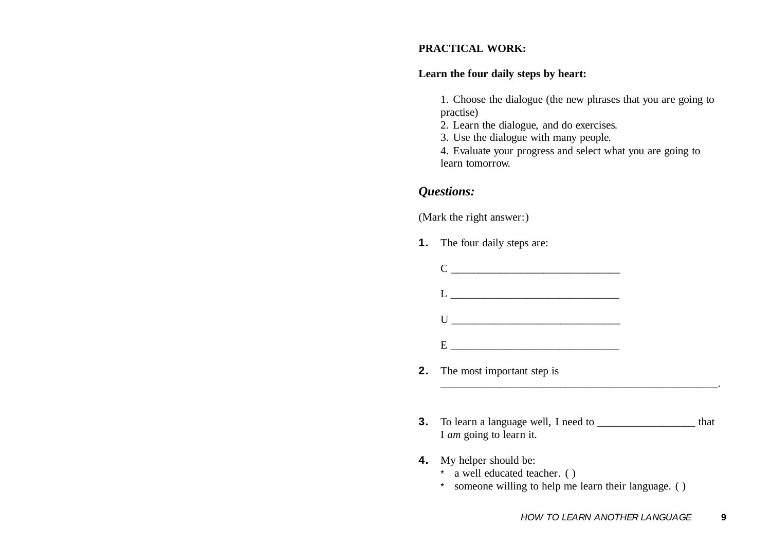#### **PRACTICAL WORK:**

#### **Learn the four daily steps by heart:**

1. Choose the dialogue (the new phrases that you are going to practise)

- 2. Learn the dialogue, and do exercises.
- 3. Use the dialogue with many people.

4. Evaluate your progress and select what you are going to learn tomorrow.

#### *Questions:*

(Mark the right answer:)

- **1.** The four daily steps are:
	- C \_\_\_\_\_\_\_\_\_\_\_\_\_\_\_\_\_\_\_\_\_\_\_\_\_\_\_\_\_\_\_
	- $L =$   $\frac{L}{L}$
	- $U =$   $\frac{1}{2}$   $\frac{1}{2}$   $\frac{1}{2}$   $\frac{1}{2}$   $\frac{1}{2}$   $\frac{1}{2}$   $\frac{1}{2}$   $\frac{1}{2}$   $\frac{1}{2}$   $\frac{1}{2}$   $\frac{1}{2}$   $\frac{1}{2}$   $\frac{1}{2}$   $\frac{1}{2}$   $\frac{1}{2}$   $\frac{1}{2}$   $\frac{1}{2}$   $\frac{1}{2}$   $\frac{1}{2}$   $\frac{1}{2}$   $\frac{1}{2}$   $\frac{1}{$
	- $E$   $\qquad \qquad \qquad$
- **2.** The most important step is
- **3.** To learn a language well, I need to \_\_\_\_\_\_\_\_\_\_\_\_\_\_\_\_\_\_ that I *am* going to learn it.

\_\_\_\_\_\_\_\_\_\_\_\_\_\_\_\_\_\_\_\_\_\_\_\_\_\_\_\_\_\_\_\_\_\_\_\_\_\_\_\_\_\_\_\_\_\_\_\_\_\_\_.

- **4.** My helper should be:
	- \* a well educated teacher. ( )
	- \* someone willing to help me learn their language. ( )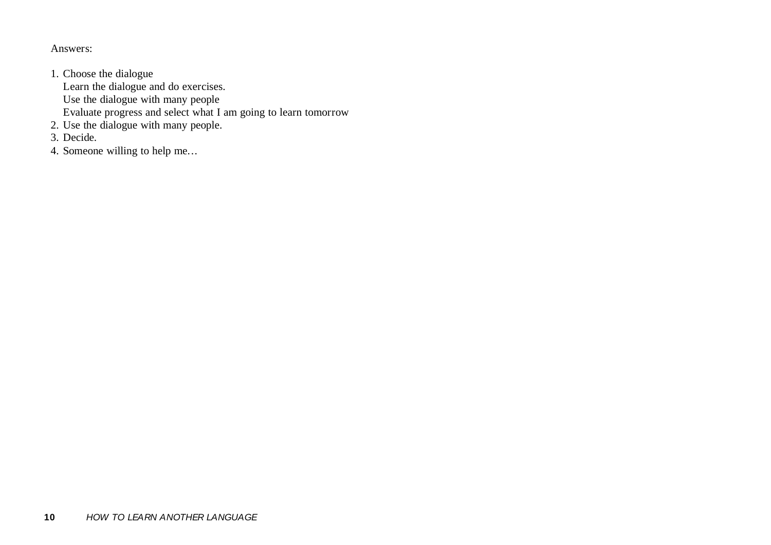Answers:

- 1. Choose the dialogue Learn the dialogue and do exercises. Use the dialogue with many people Evaluate progress and select what I am going to learn tomorrow
- 2. Use the dialogue with many people.
- 3. Decide.
- 4. Someone willing to help me...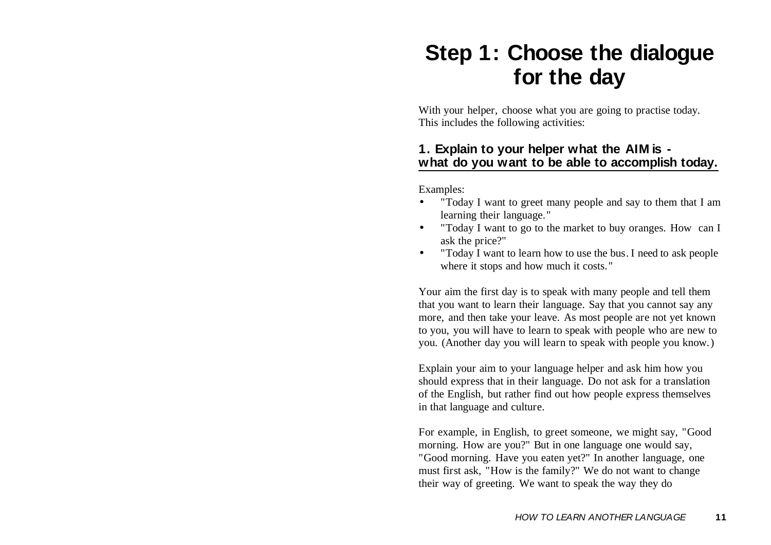## **Step 1: Choose the dialogue for the day**

With your helper, choose what you are going to practise today. This includes the following activities:

## **1. Explain to your helper what the AIM is what do you want to be able to accomplish today.**

Examples:

- • "Today I want to greet many people and say to them that I am learning their language."
- • "Today I want to go to the market to buy oranges. How can I ask the price?"
- • "Today I want to learn how to use the bus. I need to ask people where it stops and how much it costs."

Your aim the first day is to speak with many people and tell them that you want to learn their language. Say that you cannot say any more, and then take your leave. As most people are not yet known to you, you will have to learn to speak with people who are new to you. (Another day you will learn to speak with people you know.)

Explain your aim to your language helper and ask him how you should express that in their language. Do not ask for a translation of the English, but rather find out how people express themselves in that language and culture.

For example, in English, to greet someone, we might say, "Good morning. How are you?" But in one language one would say, "Good morning. Have you eaten yet?" In another language, one must first ask, "How is the family?" We do not want to change their way of greeting. We want to speak the way they do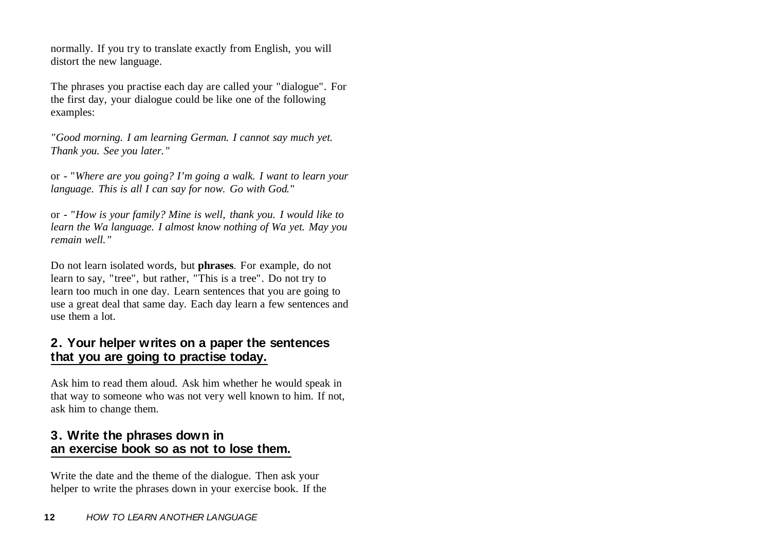normally. If you try to translate exactly from English, you will distort the new language.

The phrases you practise each day are called your "dialogue". For the first day, your dialogue could be like one of the following examples:

*"Good morning. I am learning German. I cannot say much yet. Thank you. See you later."*

or - "*Where are you going? I'm going a walk. I want to learn your language. This is all I can say for now. Go with God*."

or - *"How is your family? Mine is well, thank you. I would like to learn the Wa language. I almost know nothing of Wa yet. May you remain well."*

Do not learn isolated words, but **phrases**. For example, do not learn to say, "tree", but rather, "This is a tree". Do not try to learn too much in one day. Learn sentences that you are going to use a great deal that same day. Each day learn a few sentences and use them a lot.

## **2. Your helper writes on a paper the sentences that you are going to practise today.**

Ask him to read them aloud. Ask him whether he would speak in that way to someone who was not very well known to him. If not, ask him to change them.

### **3. Write the phrases down in an exercise book so as not to lose them.**

Write the date and the theme of the dialogue. Then ask your helper to write the phrases down in your exercise book. If the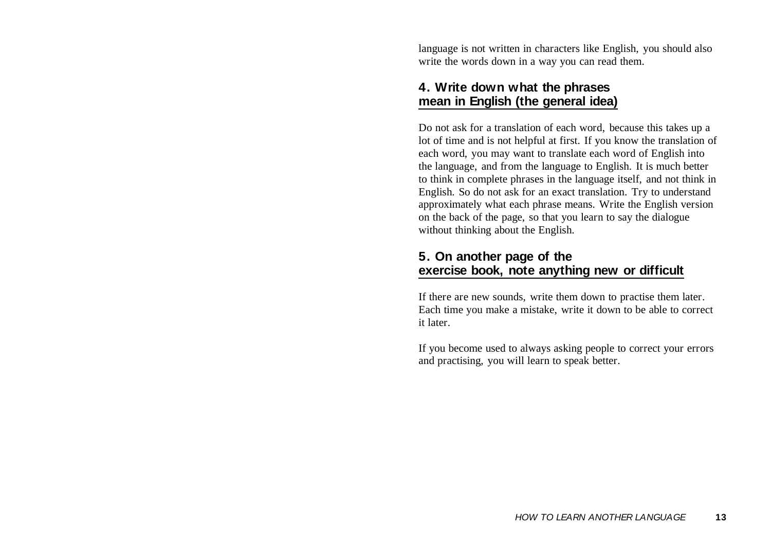language is not written in characters like English, you should also write the words down in a way you can read them.

## **4. Write down what the phrases mean in English (the general idea)**

Do not ask for a translation of each word, because this takes up a lot of time and is not helpful at first. If you know the translation of each word, you may want to translate each word of English into the language, and from the language to English. It is much better to think in complete phrases in the language itself, and not think in English. So do not ask for an exact translation. Try to understand approximately what each phrase means. Write the English version on the back of the page, so that you learn to say the dialogue without thinking about the English.

## **5. On another page of the exercise book, note anything new or difficult**

If there are new sounds, write them down to practise them later. Each time you make a mistake, write it down to be able to correct it later.

If you become used to always asking people to correct your errors and practising, you will learn to speak better.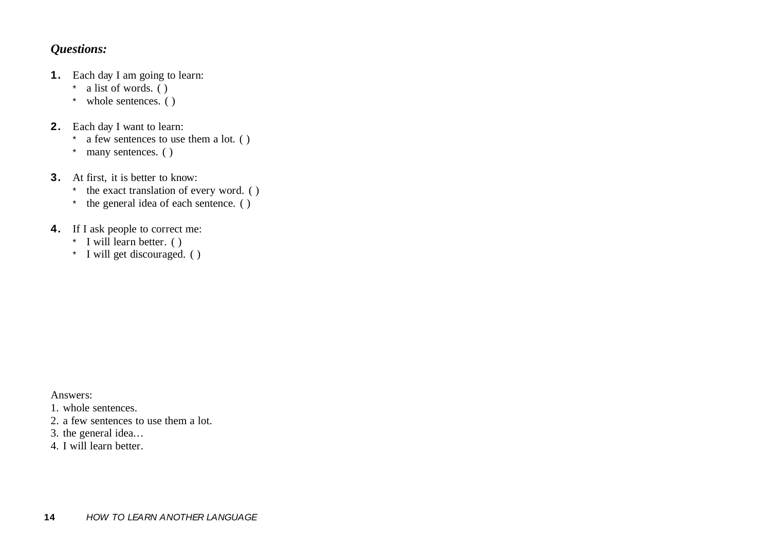## *Questions:*

- **1.** Each day I am going to learn:
	- \* a list of words. ( )
	- \* whole sentences. ( )
- **2.** Each day I want to learn:
	- \*a few sentences to use them a lot. ( )
	- \* many sentences. ( )
- **3.** At first, it is better to know:
	- \* the exact translation of every word. ( )
	- \* the general idea of each sentence. ( )
- **4.** If I ask people to correct me:
	- \* I will learn better. ( )
	- \* I will get discouraged. ( )

Answers:

- 1. whole sentences.
- 2. a few sentences to use them a lot.
- 3. the general idea...
- 4. I will learn better.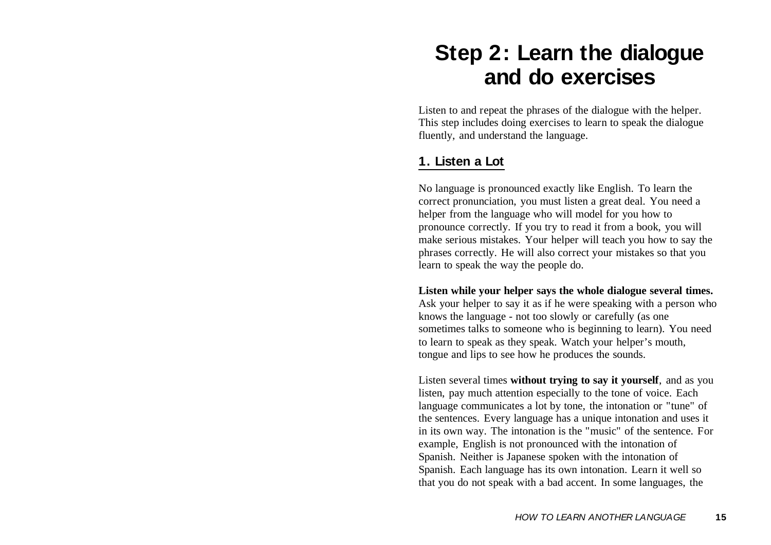## **Step 2: Learn the dialogue and do exercises**

Listen to and repeat the phrases of the dialogue with the helper. This step includes doing exercises to learn to speak the dialogue fluently, and understand the language.

## **1. Listen a Lot**

No language is pronounced exactly like English. To learn the correct pronunciation, you must listen a great deal. You need a helper from the language who will model for you how to pronounce correctly. If you try to read it from a book, you will make serious mistakes. Your helper will teach you how to say the phrases correctly. He will also correct your mistakes so that you learn to speak the way the people do.

**Listen while your helper says the whole dialogue several times.** Ask your helper to say it as if he were speaking with a person who knows the language - not too slowly or carefully (as one sometimes talks to someone who is beginning to learn). You need to learn to speak as they speak. Watch your helper's mouth, tongue and lips to see how he produces the sounds.

Listen several times **without trying to say it yourself**, and as you listen, pay much attention especially to the tone of voice. Each language communicates a lot by tone, the intonation or "tune" of the sentences. Every language has a unique intonation and uses it in its own way. The intonation is the "music" of the sentence. For example, English is not pronounced with the intonation of Spanish. Neither is Japanese spoken with the intonation of Spanish. Each language has its own intonation. Learn it well so that you do not speak with a bad accent. In some languages, the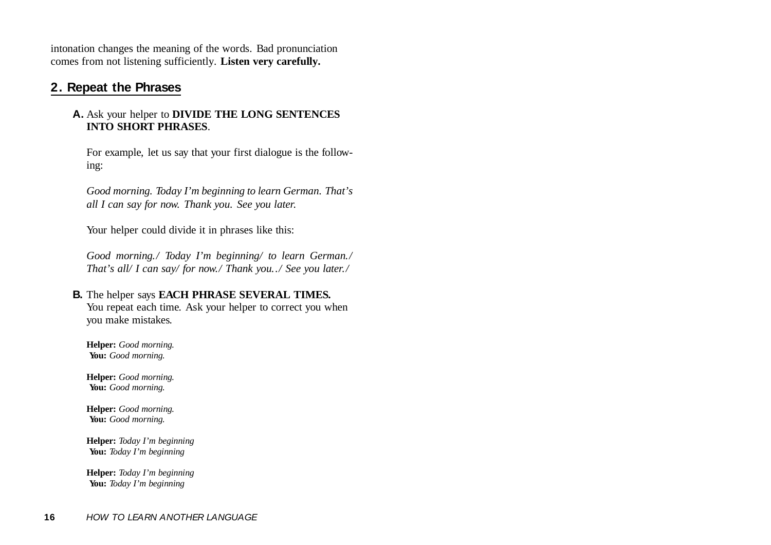intonation changes the meaning of the words. Bad pronunciation comes from not listening sufficiently. **Listen very carefully.**

### **2. Repeat the Phrases**

#### **A.** Ask your helper to **DIVIDE THE LONG SENTENCES INTO SHORT PHRASES**.

For example, let us say that your first dialogue is the following:

*Good morning. Today I'm beginning to learn German. That's all I can say for now. Thank you. See you later.*

Your helper could divide it in phrases like this:

*Good morning./ Today I'm beginning/ to learn German./ That's all/ I can say/ for now./ Thank you../ See you later./*

#### **B.** The helper says **EACH PHRASE SEVERAL TIMES.**

You repeat each time. Ask your helper to correct you when you make mistakes.

**Helper:** *Good morning.* **You:** *Good morning.*

**Helper:** *Good morning.* **You:** *Good morning.*

**Helper:** *Good morning.* **You:** *Good morning.*

**Helper:** *Today I'm beginning* **You:** *Today I'm beginning*

**Helper:** *Today I'm beginning* **You:** *Today I'm beginning*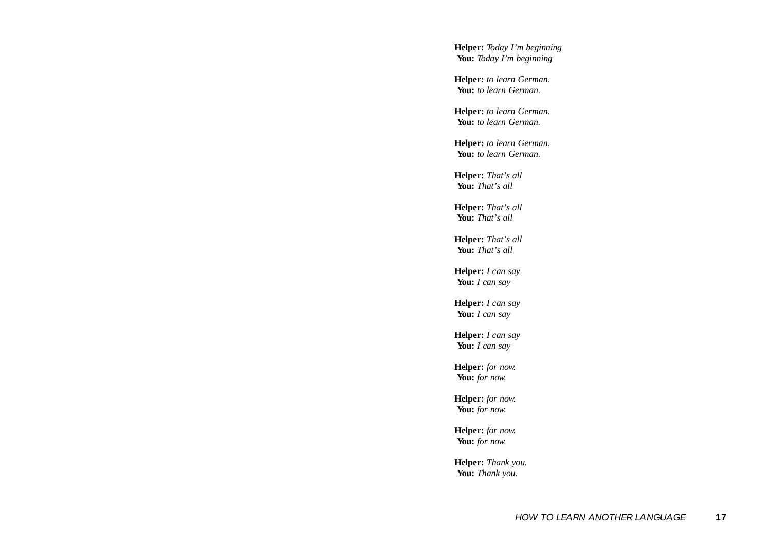**Helper:** *Today I'm beginning* **You:** *Today I'm beginning*

**Helper:** *to learn German.* **You:** *to learn German.*

**Helper:** *to learn German.* **You:** *to learn German.*

**Helper:** *to learn German.* **You:** *to learn German.*

**Helper:** *That's all* **You:** *That's all*

**Helper:** *That's all* **You:** *That's all*

**Helper:** *That's all* **You:** *That's all*

**Helper:** *I can say* You: *I can say* 

**Helper:** *I can say* **You:** *I can say*

**Helper:** *I can say* **You:** *I can say*

**Helper:** *for now.* **You:** *for now.*

**Helper:** *for now.* **You:** *for now.*

**Helper:** *for now.* **You:** *for now.*

**Helper:** *Thank you.* **You:** *Thank you.*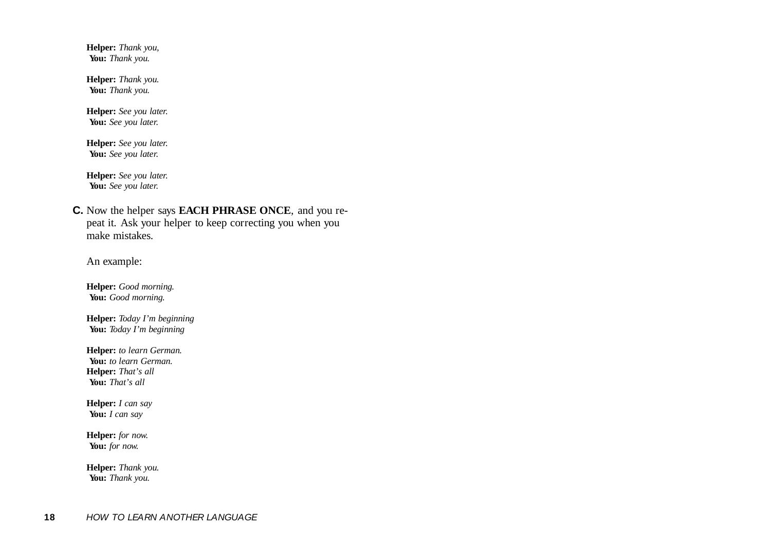**Helper:** *Thank you,* **You:** *Thank you.*

**Helper:** *Thank you.* **You:** *Thank you.*

**Helper:** *See you later.* **You:** *See you later.*

**Helper:** *See you later.* **You:** *See you later.*

**Helper:** *See you later.* **You:** *See you later.*

**C.** Now the helper says **EACH PHRASE ONCE**, and you repeat it. Ask your helper to keep correcting you when you make mistakes.

An example:

**Helper:** *Good morning.* **You:** *Good morning.*

**Helper:** *Today I'm beginning* **You:** *Today I'm beginning*

**Helper:** *to learn German.* **You:** *to learn German.* **Helper:** *That's all* **You:** *That's all*

**Helper:** *I can say* **You:** *I can say*

**Helper:** *for now.* **You:** *for now.*

**Helper:** *Thank you.* **You:** *Thank you.*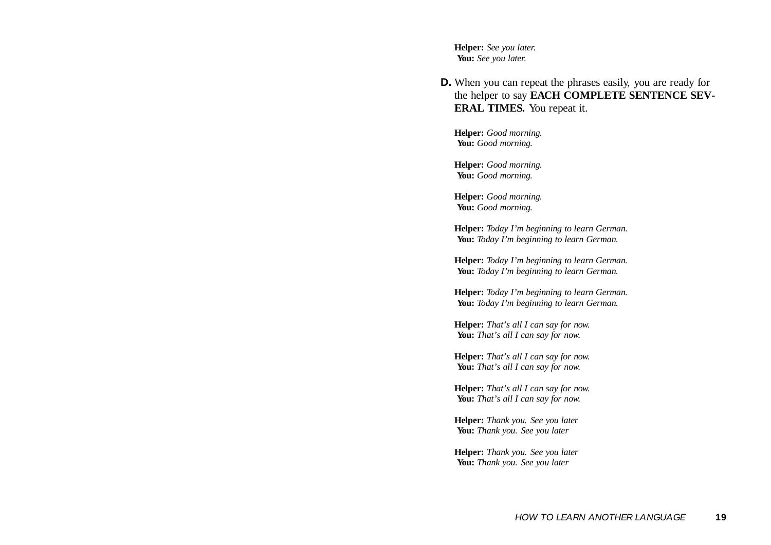**Helper:** *See you later.* **You:** *See you later.*

**D.** When you can repeat the phrases easily, you are ready for the helper to say **EACH COMPLETE SENTENCE SEV-ERAL TIMES.** You repeat it.

**Helper:** *Good morning.* **You:** *Good morning.*

**Helper:** *Good morning.* **You:** *Good morning.*

**Helper:** *Good morning.* **You:** *Good morning.*

**Helper:** *Today I'm beginning to learn German.* **You:** *Today I'm beginning to learn German.*

**Helper:** *Today I'm beginning to learn German.* **You:** *Today I'm beginning to learn German.*

**Helper:** *Today I'm beginning to learn German.* **You:** *Today I'm beginning to learn German.*

**Helper:** *That's all I can say for now.* **You:** *That's all I can say for now.*

**Helper:** *That's all I can say for now.* **You:** *That's all I can say for now.*

**Helper:** *That's all I can say for now.* **You:** *That's all I can say for now.*

**Helper:** *Thank you. See you later* **You:** *Thank you. See you later*

**Helper:** *Thank you. See you later* **You:** *Thank you. See you later*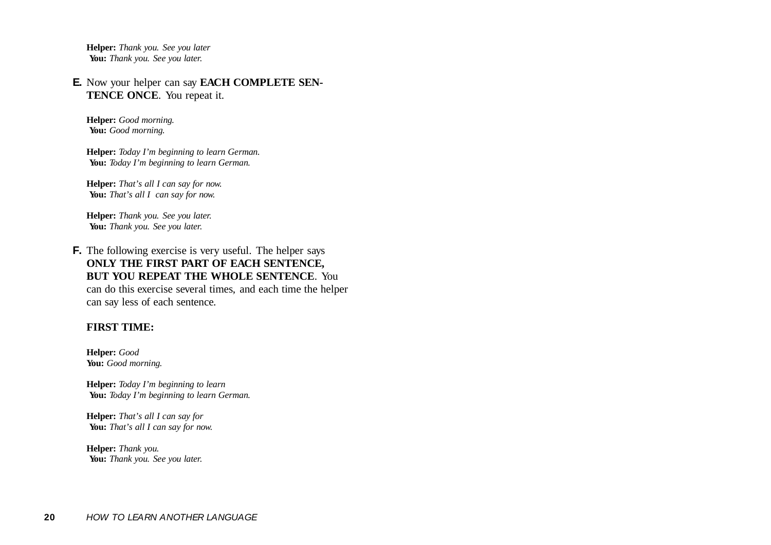**Helper:** *Thank you. See you later* **You:** *Thank you. See you later.*

#### **E.** Now your helper can say **EACH COMPLETE SEN-TENCE ONCE**. You repeat it.

**Helper:** *Good morning.* **You:** *Good morning.*

**Helper:** *Today I'm beginning to learn German.* **You:** *Today I'm beginning to learn German.*

**Helper:** *That's all I can say for now.* **You:** *That's all I can say for now.*

**Helper:** *Thank you. See you later.* **You:** *Thank you. See you later.*

**F.** The following exercise is very useful. The helper says **ONLY THE FIRST PART OF EACH SENTENCE, BUT YOU REPEAT THE WHOLE SENTENCE**. Youcan do this exercise several times, and each time the helper can say less of each sentence.

#### **FIRST TIME:**

**Helper:** *Good* **You:** *Good morning.*

**Helper:** *Today I'm beginning to learn* **You:** *Today I'm beginning to learn German.*

**Helper:** *That's all I can say for* **You:** *That's all I can say for now.*

**Helper:** *Thank you.* **You:** *Thank you. See you later.*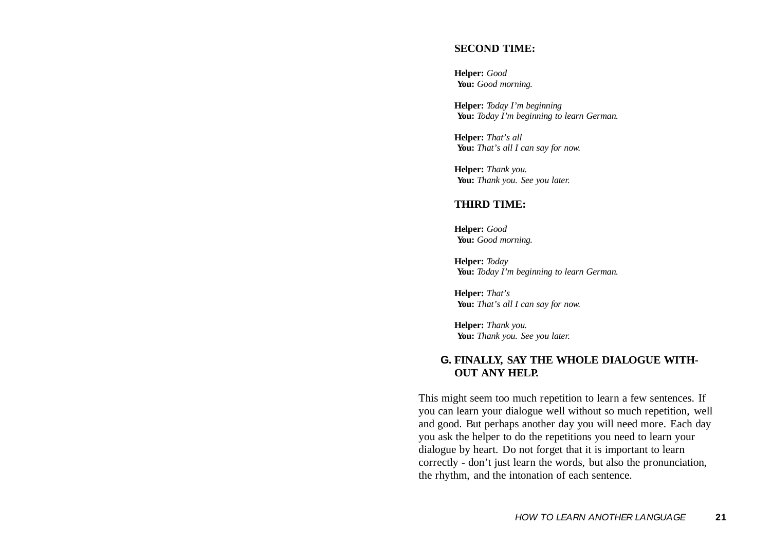#### **SECOND TIME:**

**Helper:** *Good* **You:** *Good morning.*

**Helper:** *Today I'm beginning* **You:** *Today I'm beginning to learn German.*

**Helper:** *That's all* **You:** *That's all I can say for now.*

**Helper:** *Thank you.* **You:** *Thank you. See you later.*

#### **THIRD TIME:**

**Helper:** *Good* **You:** *Good morning.*

**Helper:** *Today* **You:** *Today I'm beginning to learn German.*

**Helper:** *That's* **You:** *That's all I can say for now.*

**Helper:** *Thank you.* **You:** *Thank you. See you later.*

#### **G. FINALLY, SAY THE WHOLE DIALOGUE WITH-OUT ANY HELP.**

This might seem too much repetition to learn a few sentences. If you can learn your dialogue well without so much repetition, well and good. But perhaps another day you will need more. Each day you ask the helper to do the repetitions you need to learn your dialogue by heart. Do not forget that it is important to learn correctly - don't just learn the words, but also the pronunciation, the rhythm, and the intonation of each sentence.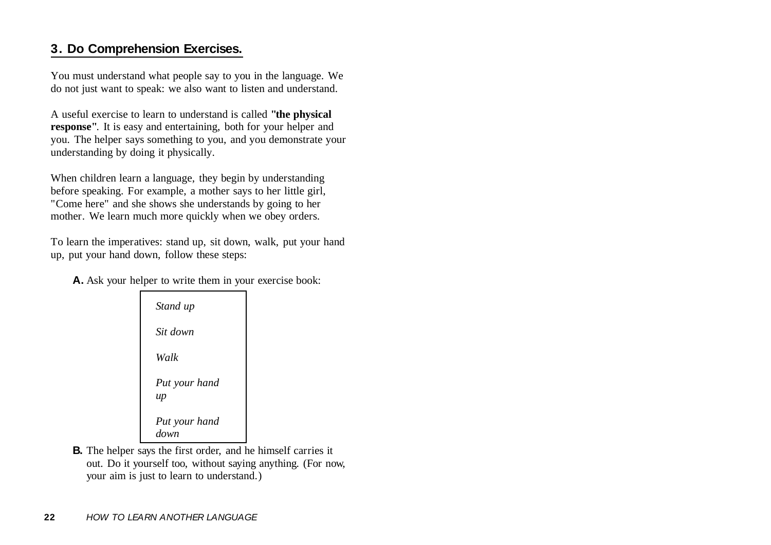## **3. Do Comprehension Exercises.**

You must understand what people say to you in the language. We do not just want to speak: we also want to listen and understand.

A useful exercise to learn to understand is called **"the physical response"**. It is easy and entertaining, both for your helper and you. The helper says something to you, and you demonstrate your understanding by doing it physically.

When children learn a language, they begin by understanding before speaking. For example, a mother says to her little girl, "Come here" and she shows she understands by going to her mother. We learn much more quickly when we obey orders.

To learn the imperatives: stand up, sit down, walk, put your hand up, put your hand down, follow these steps:

**A.** Ask your helper to write them in your exercise book:

| Stand up              |
|-----------------------|
| Sit down              |
| Walk                  |
| Put your hand<br>up   |
| Put your hand<br>down |

**B.** The helper says the first order, and he himself carries it out. Do it yourself too, without saying anything. (For now, your aim is just to learn to understand.)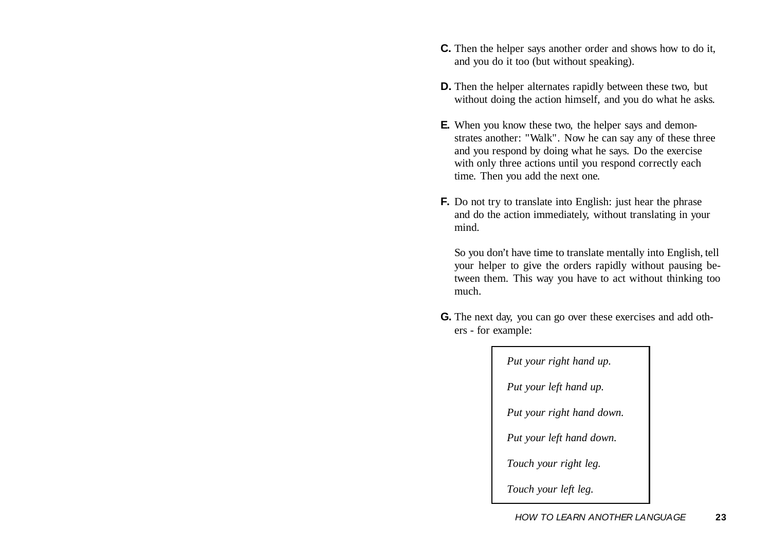- **C.** Then the helper says another order and shows how to do it, and you do it too (but without speaking).
- **D.** Then the helper alternates rapidly between these two, but without doing the action himself, and you do what he asks.
- **E.** When you know these two, the helper says and demonstrates another: "Walk". Now he can say any of these three and you respond by doing what he says. Do the exercise with only three actions until you respond correctly each time. Then you add the next one.
- **F.** Do not try to translate into English: just hear the phrase and do the action immediately, without translating in your mind.

So you don't have time to translate mentally into English, tell your helper to give the orders rapidly without pausing between them. This way you have to act without thinking too much.

**G.** The next day, you can go over these exercises and add others - for example:

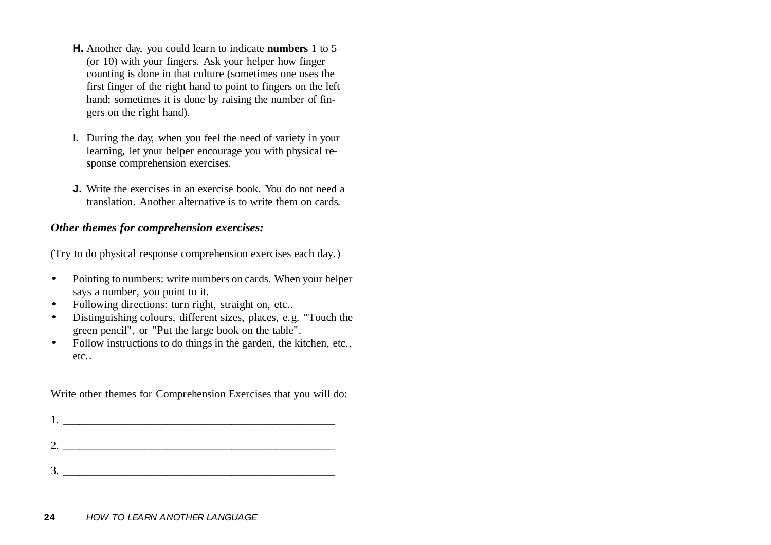- **H.** Another day, you could learn to indicate **numbers** 1 to 5 (or 10) with your fingers. Ask your helper how finger counting is done in that culture (sometimes one uses the first finger of the right hand to point to fingers on the left hand; sometimes it is done by raising the number of fingers on the right hand).
- **I.** During the day, when you feel the need of variety in your learning, let your helper encourage you with physical response comprehension exercises.
- **J.** Write the exercises in an exercise book. You do not need atranslation. Another alternative is to write them on cards.

#### *Other themes for comprehension exercises:*

(Try to do physical response comprehension exercises each day.)

- $\bullet$  Pointing to numbers: write numbers on cards. When your helper says a number, you point to it.
- •Following directions: turn right, straight on, etc..
- • Distinguishing colours, different sizes, places, e.g. "Touch the green pencil", or "Put the large book on the table".
- $\bullet$  Follow instructions to do things in the garden, the kitchen, etc., etc..

Write other themes for Comprehension Exercises that you will do: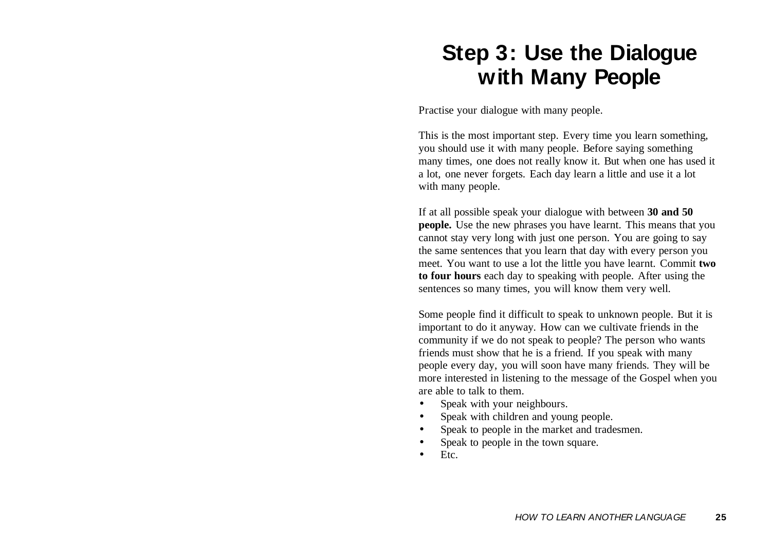## **Step 3: Use the Dialogue with Many People**

Practise your dialogue with many people.

This is the most important step. Every time you learn something, you should use it with many people. Before saying something many times, one does not really know it. But when one has used it a lot, one never forgets. Each day learn a little and use it a lot with many people.

If at all possible speak your dialogue with between **30 and 50 people.** Use the new phrases you have learnt. This means that you cannot stay very long with just one person. You are going to say the same sentences that you learn that day with every person you meet. You want to use a lot the little you have learnt. Commit **two to four hours** each day to speaking with people. After using the sentences so many times, you will know them very well.

Some people find it difficult to speak to unknown people. But it is important to do it anyway. How can we cultivate friends in the community if we do not speak to people? The person who wants friends must show that he is a friend. If you speak with many people every day, you will soon have many friends. They will be more interested in listening to the message of the Gospel when you are able to talk to them.

- •Speak with your neighbours.
- •Speak with children and young people.
- •Speak to people in the market and tradesmen.
- •Speak to people in the town square.
- •Etc.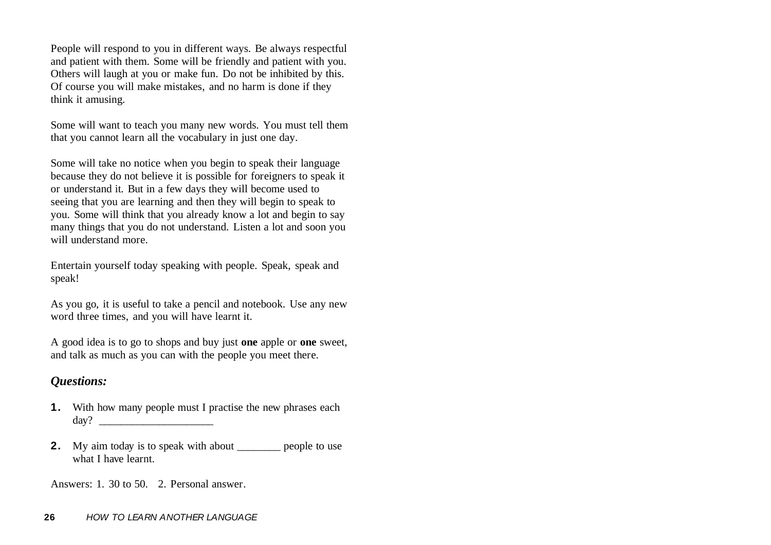People will respond to you in different ways. Be always respectful and patient with them. Some will be friendly and patient with you. Others will laugh at you or make fun. Do not be inhibited by this. Of course you will make mistakes, and no harm is done if they think it amusing.

Some will want to teach you many new words. You must tell them that you cannot learn all the vocabulary in just one day.

Some will take no notice when you begin to speak their language because they do not believe it is possible for foreigners to speak it or understand it. But in a few days they will become used to seeing that you are learning and then they will begin to speak to you. Some will think that you already know a lot and begin to say many things that you do not understand. Listen a lot and soon you will understand more.

Entertain yourself today speaking with people. Speak, speak and speak!

As you go, it is useful to take a pencil and notebook. Use any new word three times, and you will have learnt it.

A good idea is to go to shops and buy just **one** apple or **one** sweet, and talk as much as you can with the people you meet there.

### *Questions:*

- **1.** With how many people must I practise the new phrases each day? \_\_\_\_\_\_\_\_\_\_\_\_\_\_\_\_\_\_\_\_\_
- **2.** My aim today is to speak with about \_\_\_\_\_\_\_\_ people to use what I have learnt.

Answers: 1. 30 to 50. 2. Personal answer.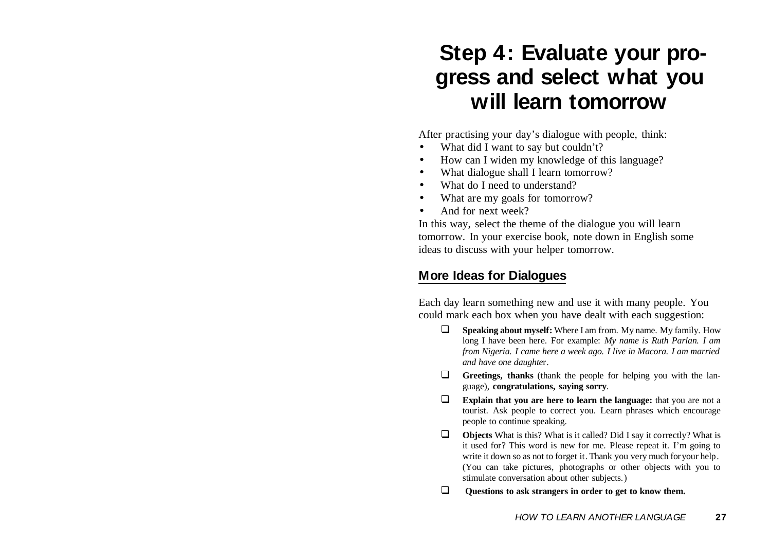## **Step 4: Evaluate your progress and select what you will learn tomorrow**

After practising your day's dialogue with people, think:

- •What did I want to say but couldn't?
- •How can I widen my knowledge of this language?
- •What dialogue shall I learn tomorrow?
- •What do I need to understand?
- •What are my goals for tomorrow?
- •And for next week?

In this way, select the theme of the dialogue you will learn tomorrow. In your exercise book, note down in English some ideas to discuss with your helper tomorrow.

## **More Ideas for Dialogues**

Each day learn something new and use it with many people. You could mark each box when you have dealt with each suggestion:

- ⊔ **Speaking about myself:** Where I am from. My name. My family. How long I have been here. For example: *My name is Ruth Parlan. I am from Nigeria. I came here a week ago. I live in Macora. I am married and have one daughte*r.
- □ **Greetings, thanks** (thank the people for helping you with the language), **congratulations, saying sorry**.
- $\Box$ **Explain that you are here to learn the language:** that you are not a tourist. Ask people to correct you. Learn phrases which encourage people to continue speaking.
- $\Box$  **Objects** What is this? What is it called? Did I say it correctly? What is it used for? This word is new for me. Please repeat it. I'm going to write it down so as not to forget it. Thank you very much for your help. (You can take pictures, photographs or other objects with you to stimulate conversation about other subjects.)
- **Questions to ask strangers in order to get to know them.**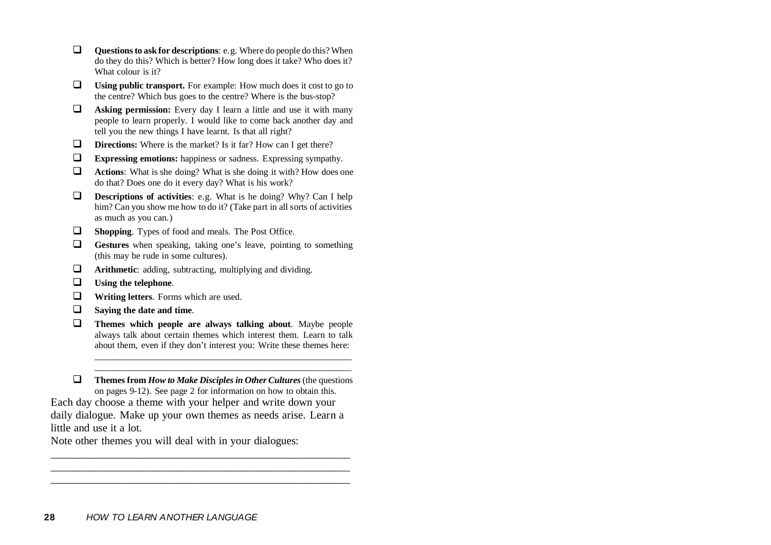| <b>Questions to ask for descriptions:</b> e.g. Where do people do this? When<br>do they do this? Which is better? How long does it take? Who does it?<br>What colour is it?                                   |
|---------------------------------------------------------------------------------------------------------------------------------------------------------------------------------------------------------------|
| <b>Using public transport.</b> For example: How much does it cost to go to<br>the centre? Which bus goes to the centre? Where is the bus-stop?                                                                |
| <b>Asking permission:</b> Every day I learn a little and use it with many<br>people to learn properly. I would like to come back another day and<br>tell you the new things I have learnt. Is that all right? |
| <b>Directions:</b> Where is the market? Is it far? How can I get there?                                                                                                                                       |
| <b>Expressing emotions:</b> happiness or sadness. Expressing sympathy.                                                                                                                                        |
| <b>Actions:</b> What is she doing? What is she doing it with? How does one<br>do that? Does one do it every day? What is his work?                                                                            |
| <b>Descriptions of activities:</b> $\theta$ a. What is be doing? Why? Can I help                                                                                                                              |

- $\Box$  **Descriptions of activities**: e.g. What is he doing? Why? Can I help him? Can you show me how to do it? (Take part in all sorts of activities as much as you can.)
- $\Box$ **Shopping**. Types of food and meals. The Post Office.
- $\Box$  **Gestures** when speaking, taking one's leave, pointing to something (this may be rude in some cultures).
- $\Box$ **Arithmetic**: adding, subtracting, multiplying and dividing.
- $\Box$ **Using the telephone**.
- $\Box$ **Writing letters**. Forms which are used.
- $\Box$ **Saying the date and time**.
- $\Box$  **Themes which people are always talking about**. Maybe people always talk about certain themes which interest them. Learn to talk about them, even if they don't interest you: Write these themes here:

 $\Box$  **Themes from** *How to Make Disciples in Other Cultures* (the questions on pages 9-12). See page 2 for information on how to obtain this. Each day choose a theme with your helper and write down your daily dialogue. Make up your own themes as needs arise. Learn a little and use it a lot.

\_\_\_\_\_\_\_\_\_\_\_\_\_\_\_\_\_\_\_\_\_\_\_\_\_\_\_\_\_\_\_\_\_\_\_\_\_\_\_\_\_\_\_\_\_\_\_\_\_\_\_\_\_\_\_

\_\_\_\_\_\_\_\_\_\_\_\_\_\_\_\_\_\_\_\_\_\_\_\_\_\_\_\_\_\_\_\_\_\_\_\_\_\_\_\_\_\_\_\_\_\_\_\_\_\_\_\_\_\_\_

Note other themes you will deal with in your dialogues: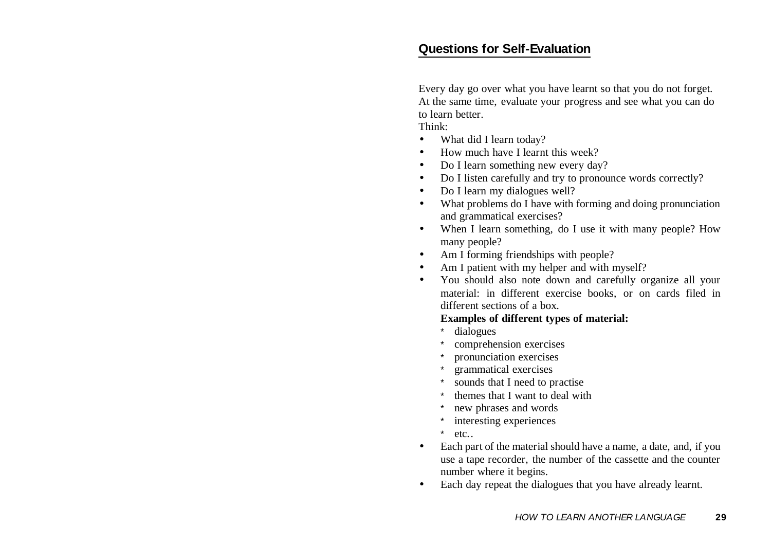### **Questions for Self-Evaluation**

Every day go over what you have learnt so that you do not forget. At the same time, evaluate your progress and see what you can do to learn better.

Think:

- •What did I learn today?
- •How much have I learnt this week?
- •Do I learn something new every day?
- •Do I listen carefully and try to pronounce words correctly?
- •Do I learn my dialogues well?
- • What problems do I have with forming and doing pronunciation and grammatical exercises?
- • When I learn something, do I use it with many people? How many people?
- •Am I forming friendships with people?
- •Am I patient with my helper and with myself?
- • You should also note down and carefully organize all your material: in different exercise books, or on cards filed in different sections of a box.

#### **Examples of different types of material:**

- \*dialogues
- \*comprehension exercises
- \*pronunciation exercises
- \*grammatical exercises
- \*sounds that I need to practise
- \*themes that I want to deal with
- \*new phrases and words
- \*interesting experiences
- \*etc..
- • Each part of the material should have a name, a date, and, if you use a tape recorder, the number of the cassette and the counter number where it begins.
- •Each day repeat the dialogues that you have already learnt.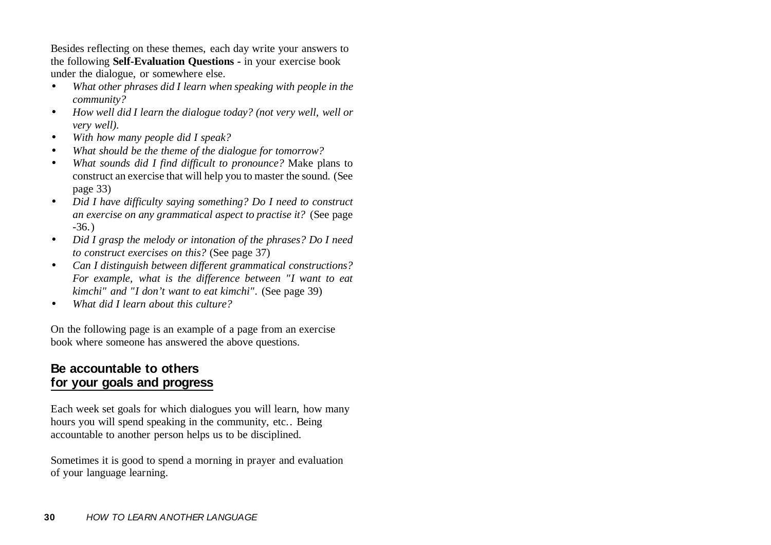Besides reflecting on these themes, each day write your answers to the following **Self-Evaluation Questions -** in your exercise book under the dialogue, or somewhere else.

- $\bullet$  *What other phrases did I learn when speaking with people in the community?*
- $\bullet$  *How well did I learn the dialogue today? (not very well, well or very well).*
- •*With how many people did I speak?*
- •*What should be the theme of the dialogue for tomorrow?*
- • *What sounds did I find difficult to pronounce?* Make plans to construct an exercise that will help you to master the sound. (See page 33)
- $\bullet$  *Did I have difficulty saying something? Do I need to construct an exercise on any grammatical aspect to practise it?* (See page -36.)
- • *Did I grasp the melody or intonation of the phrases? Do I need to construct exercises on this?* (See page 37)
- • *Can I distinguish between different grammatical constructions? For example, what is the difference between "I want to eat kimchi" and "I don't want to eat kimchi".* (See page 39)
- •*What did I learn about this culture?*

On the following page is an example of a page from an exercise book where someone has answered the above questions.

## **Be accountable to others for your goals and progress**

Each week set goals for which dialogues you will learn, how many hours you will spend speaking in the community, etc.. Being accountable to another person helps us to be disciplined.

Sometimes it is good to spend a morning in prayer and evaluation of your language learning.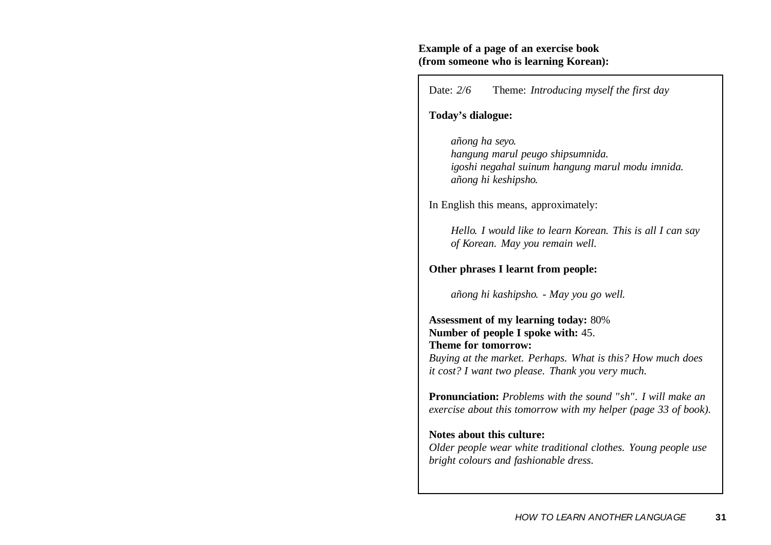#### **Example of a page of an exercise book (from someone who is learning Korean):**

Date: 2/6 Theme: *Introducing myself the first day* 

**Today's dialogue:**

*añong ha seyo. hangung marul peugo shipsumnida. igoshi negahal suinum hangung marul modu imnida. añong hi keshipsho.* 

In English this means, approximately:

*Hello. I would like to learn Korean. This is all I can say of Korean. May you remain well.*

**Other phrases I learnt from people:**

*añong hi kashipsho. - May you go well.* 

**Assessment of my learning today:** 80% **Number of people I spoke with:** 45. **Theme for tomorrow:** *Buying at the market. Perhaps. What is this? How much does it cost? I want two please. Thank you very much.*

**Pronunciation:** *Problems with the sound "sh". I will make anexercise about this tomorrow with my helper (page 33 of book).*

**Notes about this culture:***Older people wear white traditional clothes. Young people use bright colours and fashionable dress.*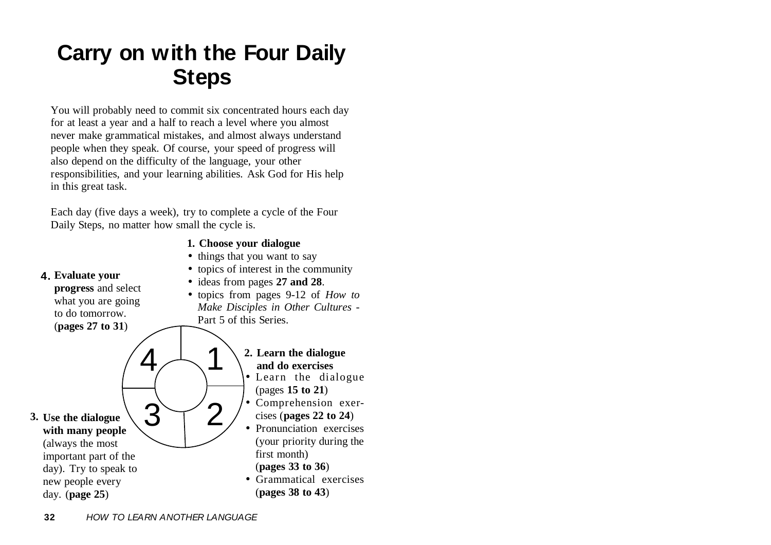## **Carry on with the Four Daily Steps**

You will probably need to commit six concentrated hours each day for at least a year and a half to reach a level where you almost never make grammatical mistakes, and almost always understand people when they speak. Of course, your speed of progress will also depend on the difficulty of the language, your other responsibilities, and your learning abilities. Ask God for His help in this great task.

Each day (five days a week), try to complete a cycle of the Four Daily Steps, no matter how small the cycle is.

- **1. Choose your dialogue**
- Learn the dialogue (pages **15 to 21**) • Comprehension exercises (**pages 22 to 24**) • Pronunciation exercises (your priority during the first month) (**pages 33 to 36**) • Grammatical exercises (**pages 38 to 43**) • things that you want to say • topics of interest in the community • ideas from pages **27 and 28**. • topics from pages 9-12 of *How to Make Disciples in Other Cultures* - Part 5 of this Series.4 **2. Learn the dialogue and do exercises** 24**Use the dialogue 3. with many people** 3 (always the most important part of the day). Try to speak to new people every day. (**page 25**) **Evaluate your 4. progress** and select what you are going to do tomorrow. (**pages 27 to 31**)
	- **32** HOW TO LEARN ANOTHER LANGUAGE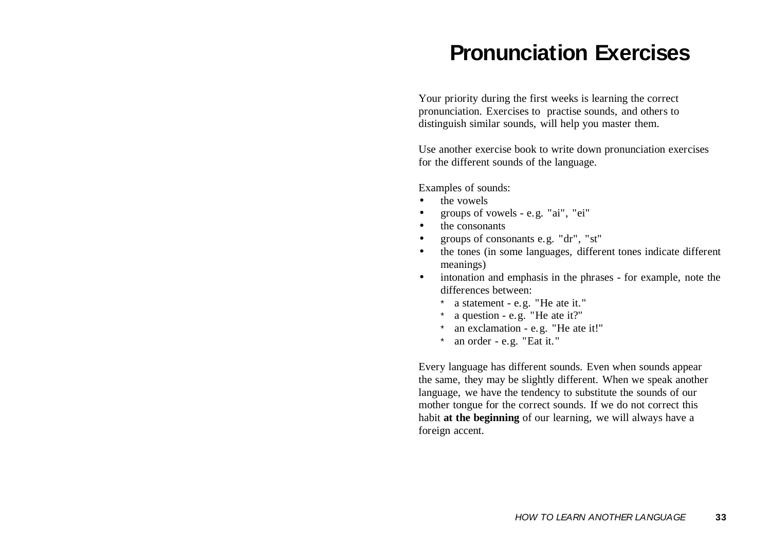## **Pronunciation Exercises**

Your priority during the first weeks is learning the correct pronunciation. Exercises to practise sounds, and others to distinguish similar sounds, will help you master them.

Use another exercise book to write down pronunciation exercises for the different sounds of the language.

Examples of sounds:

- •the vowels
- •groups of vowels - e.g. "ai", "ei"
- •the consonants
- •groups of consonants e.g. "dr", "st"
- $\bullet$  the tones (in some languages, different tones indicate different meanings)
- $\bullet$  intonation and emphasis in the phrases - for example, note the differences between:
	- \* a statement e.g. "He ate it."
	- \*a question - e.g. "He ate it?"
	- \*an exclamation - e.g. "He ate it!"
	- \*an order - e.g. "Eat it."

Every language has different sounds. Even when sounds appear the same, they may be slightly different. When we speak another language, we have the tendency to substitute the sounds of our mother tongue for the correct sounds. If we do not correct this habit **at the beginning** of our learning, we will always have a foreign accent.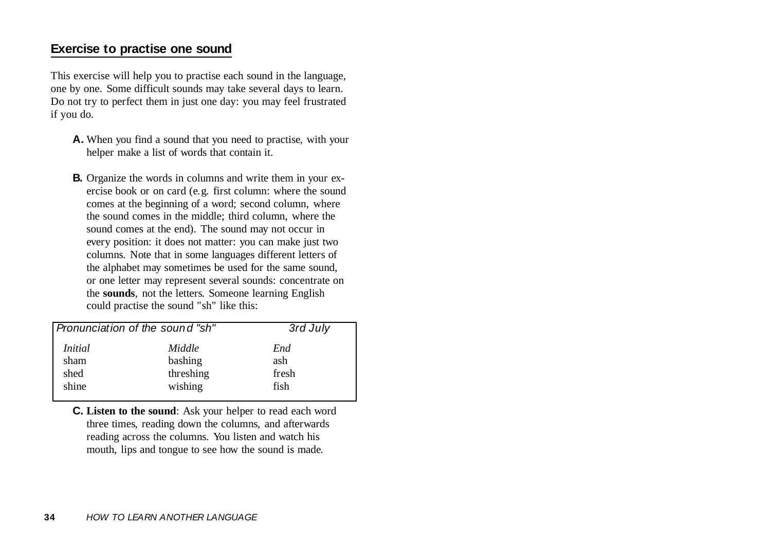## **Exercise to practise one sound**

This exercise will help you to practise each sound in the language, one by one. Some difficult sounds may take several days to learn. Do not try to perfect them in just one day: you may feel frustrated if you do.

- **A.** When you find a sound that you need to practise, with your helper make a list of words that contain it.
- **B.** Organize the words in columns and write them in your exercise book or on card (e.g. first column: where the sound comes at the beginning of a word; second column, where the sound comes in the middle; third column, where the sound comes at the end). The sound may not occur in every position: it does not matter: you can make just two columns. Note that in some languages different letters of the alphabet may sometimes be used for the same sound, or one letter may represent several sounds: concentrate on the **sounds**, not the letters. Someone learning English could practise the sound "sh" like this:

| <i>Initial</i><br>Middle<br>End<br>bashing<br>ash<br>sham<br>threshing<br>fresh<br>shed |       | Pronunciation of the sound "sh" | 3rd July |
|-----------------------------------------------------------------------------------------|-------|---------------------------------|----------|
|                                                                                         | shine | wishing                         | fish     |

**C. Listen to the sound**: Ask your helper to read each word three times, reading down the columns, and afterwards reading across the columns. You listen and watch his mouth, lips and tongue to see how the sound is made.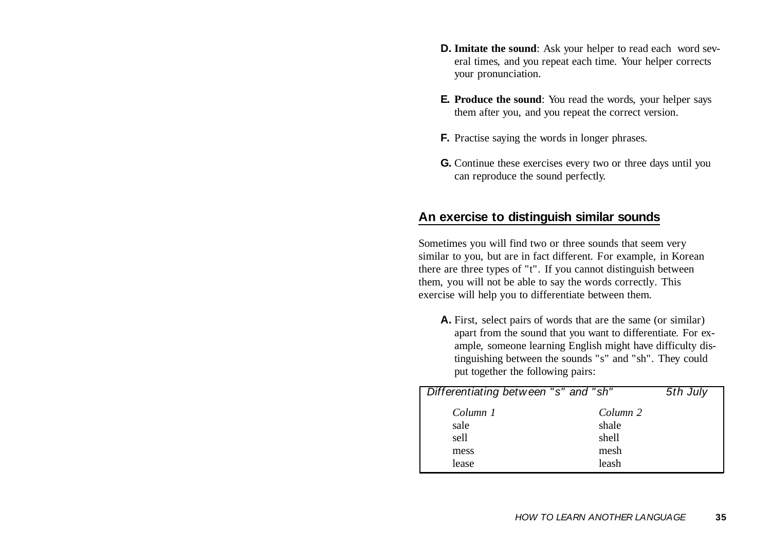- **D. Imitate the sound**: Ask your helper to read each word several times, and you repeat each time. Your helper corrects your pronunciation.
- **E. Produce the sound**: You read the words, your helper says them after you, and you repeat the correct version.
- **F.** Practise saying the words in longer phrases.
- **G.** Continue these exercises every two or three days until you can reproduce the sound perfectly.

### **An exercise to distinguish similar sounds**

Sometimes you will find two or three sounds that seem very similar to you, but are in fact different. For example, in Korean there are three types of "t". If you cannot distinguish between them, you will not be able to say the words correctly. This exercise will help you to differentiate between them.

**A.** First, select pairs of words that are the same (or similar) apart from the sound that you want to differentiate. For example, someone learning English might have difficulty distinguishing between the sounds "s" and "sh". They could put together the following pairs:

| Differentiating between "s" and "sh" |          | 5th July |
|--------------------------------------|----------|----------|
| Column 1                             | Column 2 |          |
| sale                                 | shale    |          |
| sell                                 | shell    |          |
| mess                                 | mesh     |          |
| lease                                | leash    |          |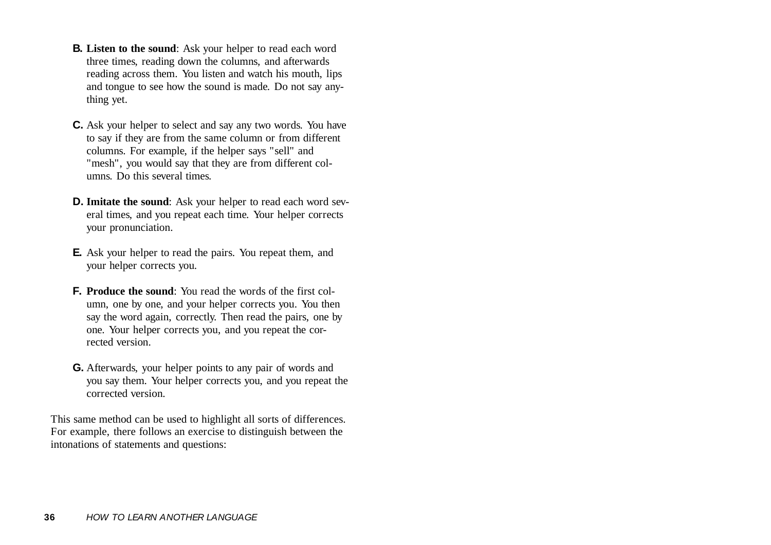- **B. Listen to the sound**: Ask your helper to read each word three times, reading down the columns, and afterwards reading across them. You listen and watch his mouth, lips and tongue to see how the sound is made. Do not say anything yet.
- **C.** Ask your helper to select and say any two words. You have to say if they are from the same column or from different columns. For example, if the helper says "sell" and "mesh", you would say that they are from different columns. Do this several times.
- **D. Imitate the sound**: Ask your helper to read each word several times, and you repeat each time. Your helper corrects your pronunciation.
- **E.** Ask your helper to read the pairs. You repeat them, and your helper corrects you.
- **F. Produce the sound**: You read the words of the first column, one by one, and your helper corrects you. You then say the word again, correctly. Then read the pairs, one by one. Your helper corrects you, and you repeat the corrected version.
- **G.** Afterwards, your helper points to any pair of words and you say them. Your helper corrects you, and you repeat the corrected version.

This same method can be used to highlight all sorts of differences. For example, there follows an exercise to distinguish between the intonations of statements and questions: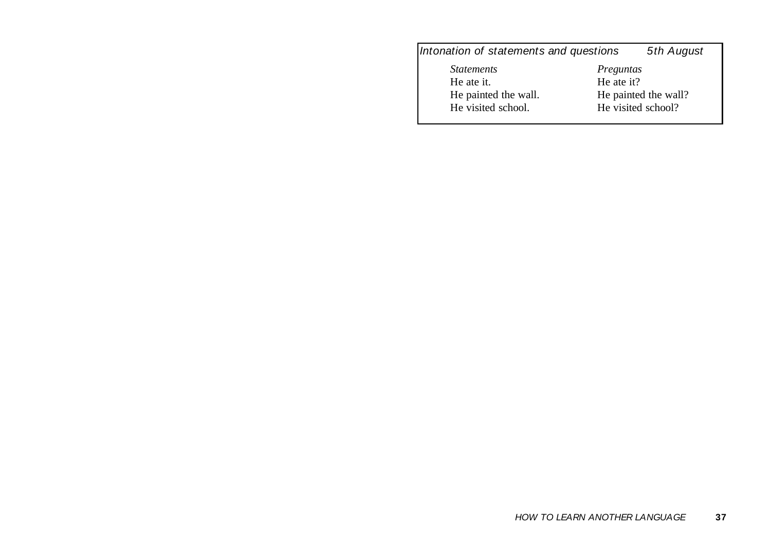## Intonation of statements and questions 5th August

*Statements* He ate it. He painted the wall. He visited school.

*Preguntas* He ate it? He painted the wall? He visited school?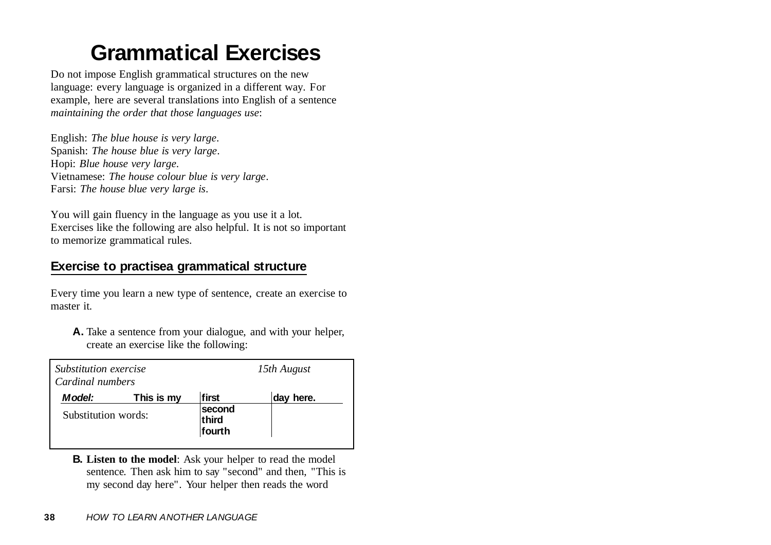## **Grammatical Exercises**

Do not impose English grammatical structures on the new language: every language is organized in a different way. For example, here are several translations into English of a sentence *maintaining the order that those languages use*:

English: *The blue house is very large*. Spanish: *The house blue is very large*. Hopi: *Blue house very large*. Vietnamese: *The house colour blue is very large*. Farsi: *The house blue very large is*.

You will gain fluency in the language as you use it a lot. Exercises like the following are also helpful. It is not so important to memorize grammatical rules.

## **Exercise to practisea grammatical structure**

Every time you learn a new type of sentence, create an exercise to master it.

**A.** Take a sentence from your dialogue, and with your helper, create an exercise like the following:

| Substitution exercise<br>Cardinal numbers |            | 15th August               |           |
|-------------------------------------------|------------|---------------------------|-----------|
| <i><b>Model:</b></i>                      | This is my | first                     | day here. |
| Substitution words:                       |            | second<br>third<br>fourth |           |

**B. Listen to the model**: Ask your helper to read the model sentence. Then ask him to say "second" and then, "This is my second day here". Your helper then reads the word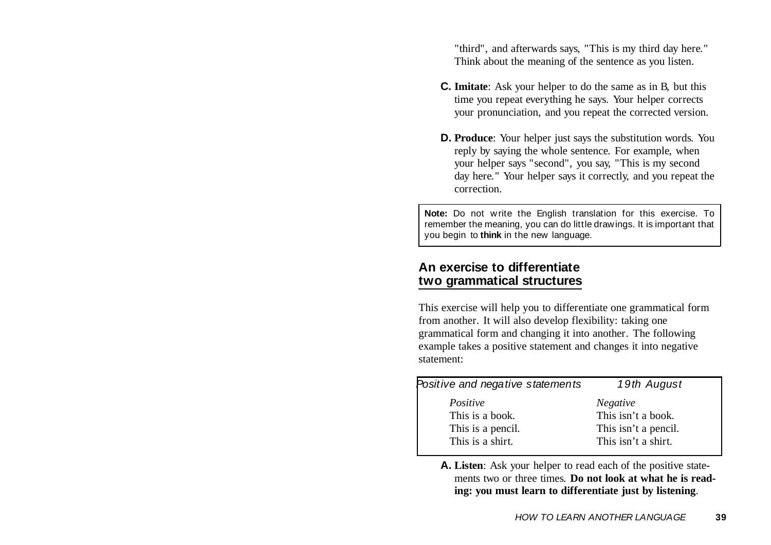"third", and afterwards says, "This is my third day here." Think about the meaning of the sentence as you listen.

- **C. Imitate**: Ask your helper to do the same as in B, but this time you repeat everything he says. Your helper corrects your pronunciation, and you repeat the corrected version.
- **D. Produce**: Your helper just says the substitution words. You reply by saying the whole sentence. For example, when your helper says "second", you say, "This is my second day here." Your helper says it correctly, and you repeat the correction.

**Note:** Do not write the English translation for this exercise. To remember the meaning, you can do little drawings. It is important that you begin to **think** in the new language.

## **An exercise to differentiate two grammatical structures**

This exercise will help you to differentiate one grammatical form from another. It will also develop flexibility: taking one grammatical form and changing it into another. The following example takes a positive statement and changes it into negative statement:

| 19th August                                                                          |
|--------------------------------------------------------------------------------------|
| <b>Negative</b><br>This isn't a book.<br>This isn't a pencil.<br>This isn't a shirt. |
|                                                                                      |

**A. Listen**: Ask your helper to read each of the positive statements two or three times. **Do not look at what he is reading: you must learn to differentiate just by listening**.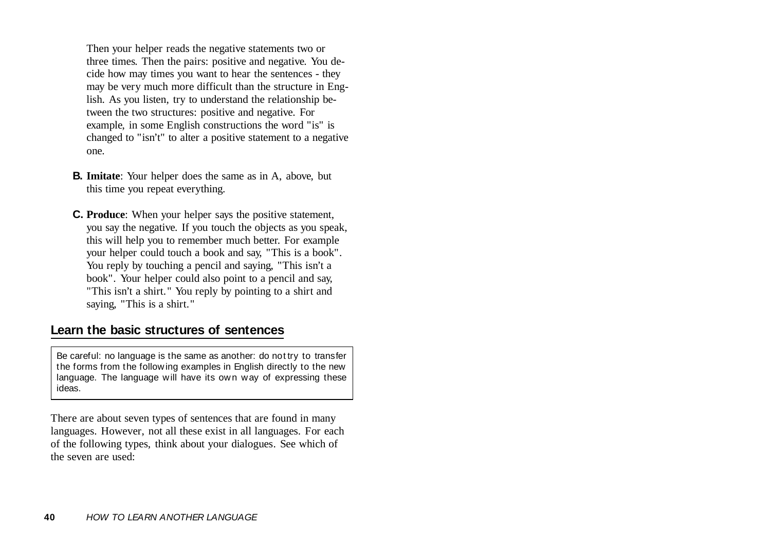Then your helper reads the negative statements two or three times. Then the pairs: positive and negative. You decide how may times you want to hear the sentences - they may be very much more difficult than the structure in English. As you listen, try to understand the relationship between the two structures: positive and negative. For example, in some English constructions the word "is" is changed to "isn't" to alter a positive statement to a negative one.

- **B. Imitate**: Your helper does the same as in A, above, but this time you repeat everything.
- **C. Produce**: When your helper says the positive statement, you say the negative. If you touch the objects as you speak, this will help you to remember much better. For example your helper could touch a book and say, "This is a book". You reply by touching a pencil and saying, "This isn't a book". Your helper could also point to a pencil and say, "This isn't a shirt." You reply by pointing to a shirt and saying, "This is a shirt."

### **Learn the basic structures of sentences**

Be careful: no language is the same as another: do not try to transfer the forms from the following examples in English directly to the new language. The language will have its own way of expressing these ideas.

There are about seven types of sentences that are found in many languages. However, not all these exist in all languages. For each of the following types, think about your dialogues. See which of the seven are used: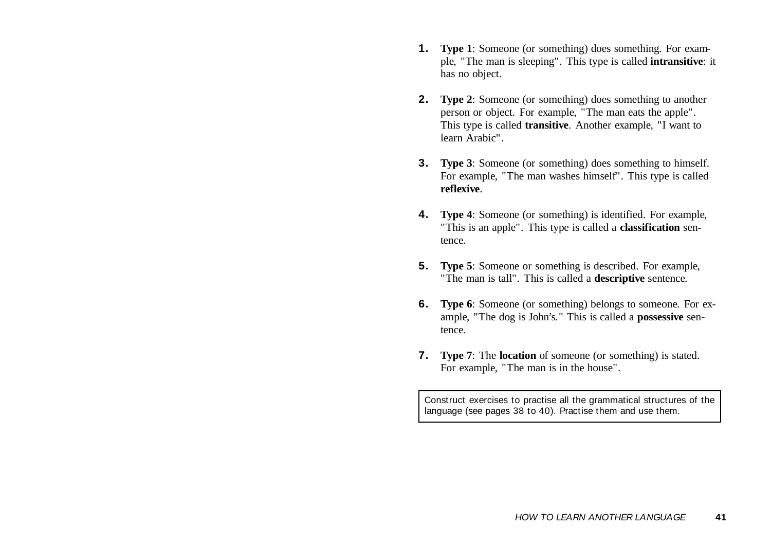- **1. Type 1**: Someone (or something) does something. For example, "The man is sleeping". This type is called **intransitive**: it has no object.
- **2. Type 2**: Someone (or something) does something to another person or object. For example, "The man eats the apple". This type is called **transitive**. Another example, "I want to learn Arabic".
- **3. Type 3**: Someone (or something) does something to himself. For example, "The man washes himself". This type is called **reflexive**.
- **4. Type 4**: Someone (or something) is identified. For example, "This is an apple". This type is called a **classification** sentence.
- **5. Type 5**: Someone or something is described. For example, "The man is tall". This is called a **descriptive** sentence.
- **6. Type 6**: Someone (or something) belongs to someone. For example, "The dog is John's." This is called a **possessive** sentence.
- **7. Type 7**: The **location** of someone (or something) is stated. For example, "The man is in the house".

Construct exercises to practise all the grammatical structures of the language (see pages 38 to 40). Practise them and use them.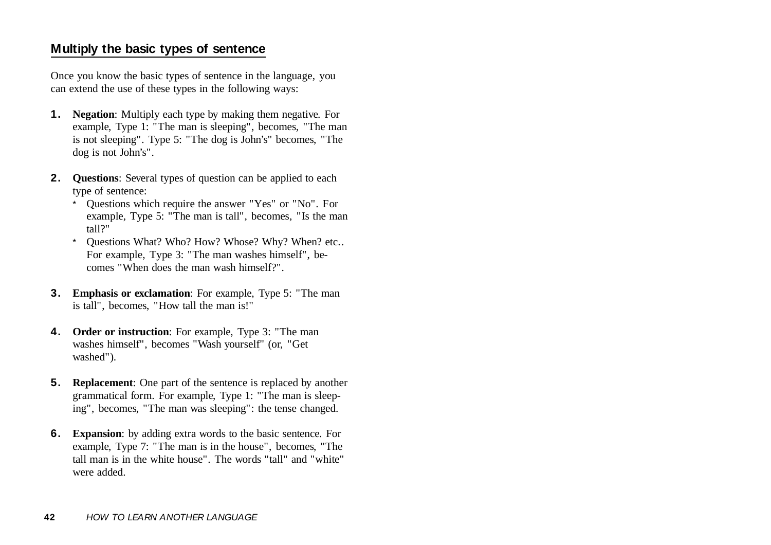## **Multiply the basic types of sentence**

Once you know the basic types of sentence in the language, you can extend the use of these types in the following ways:

- **1. Negation**: Multiply each type by making them negative. For example, Type 1: "The man is sleeping", becomes, "The man is not sleeping". Type 5: "The dog is John's" becomes, "The dog is not John's".
- **2. Questions**: Several types of question can be applied to each type of sentence:
	- \* Questions which require the answer "Yes" or "No". For example, Type 5: "The man is tall", becomes, "Is the man tall?"
	- \* Questions What? Who? How? Whose? Why? When? etc.. For example, Type 3: "The man washes himself", becomes "When does the man wash himself?".
- **3. Emphasis or exclamation**: For example, Type 5: "The man is tall", becomes, "How tall the man is!"
- **4. Order or instruction**: For example, Type 3: "The man washes himself", becomes "Wash yourself" (or, "Get washed").
- **5. Replacement**: One part of the sentence is replaced by another grammatical form. For example, Type 1: "The man is sleeping", becomes, "The man was sleeping": the tense changed.
- **6. Expansion**: by adding extra words to the basic sentence. For example, Type 7: "The man is in the house", becomes, "The tall man is in the white house". The words "tall" and "white"were added.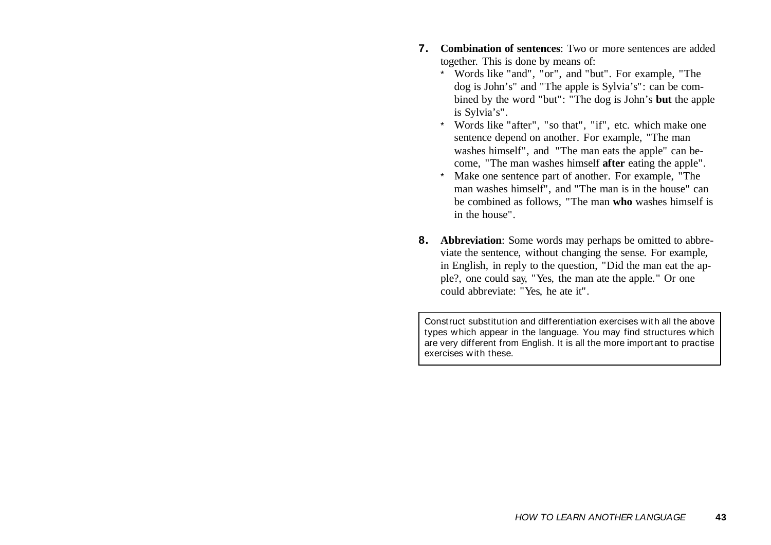- **7. Combination of sentences**: Two or more sentences are addedtogether. This is done by means of:
	- \* Words like "and", "or", and "but". For example, "The dog is John's" and "The apple is Sylvia's": can be combined by the word "but": "The dog is John's **but** the apple is Sylvia's".
	- \* Words like "after", "so that", "if", etc. which make one sentence depend on another. For example, "The man washes himself", and "The man eats the apple" can become, "The man washes himself **after** eating the apple".
	- \* Make one sentence part of another. For example, "The man washes himself", and "The man is in the house" can be combined as follows, "The man **who** washes himself is in the house".
- **8. Abbreviation**: Some words may perhaps be omitted to abbreviate the sentence, without changing the sense. For example, in English, in reply to the question, "Did the man eat the apple?, one could say, "Yes, the man ate the apple." Or one could abbreviate: "Yes, he ate it".

Construct substitution and differentiation exercises with all the abovetypes which appear in the language. You may find structures which are very different from English. It is all the more important to practise exercises with these.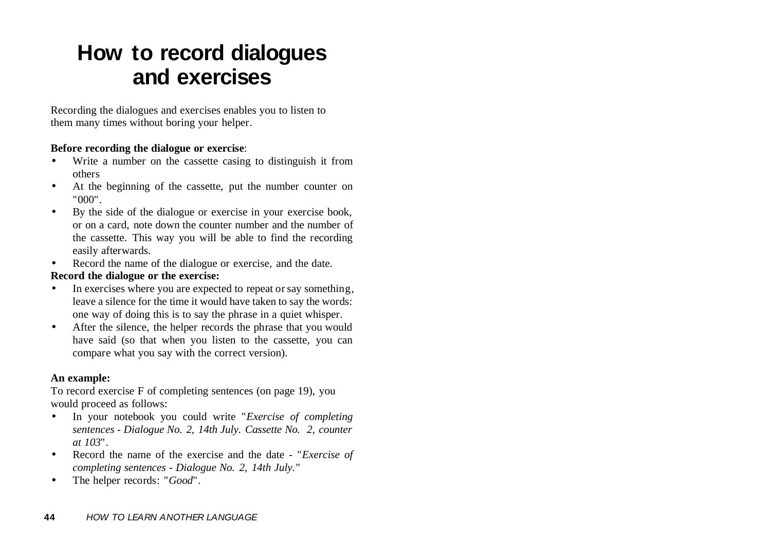## **How to record dialogues and exercises**

Recording the dialogues and exercises enables you to listen to them many times without boring your helper.

#### **Before recording the dialogue or exercise**:

- • Write a number on the cassette casing to distinguish it from others
- • At the beginning of the cassette, put the number counter on "000".
- • By the side of the dialogue or exercise in your exercise book, or on a card, note down the counter number and the number of the cassette. This way you will be able to find the recording easily afterwards.
- $\bullet$  Record the name of the dialogue or exercise, and the date. **Record the dialogue or the exercise:**
- $\bullet$  In exercises where you are expected to repeat or say something, leave a silence for the time it would have taken to say the words: one way of doing this is to say the phrase in a quiet whisper.
- $\bullet$  After the silence, the helper records the phrase that you would have said (so that when you listen to the cassette, you can compare what you say with the correct version).

#### **An example:**

To record exercise F of completing sentences (on page 19), you would proceed as follows:

- $\bullet$  In your notebook you could write "*Exercise of completing sentences - Dialogue No. 2, 14th July. Cassette No. 2, counter at 103*".
- • Record the name of the exercise and the date - "*Exercise of completing sentences - Dialogue No. 2, 14th July.*"
- •The helper records: "*Good*".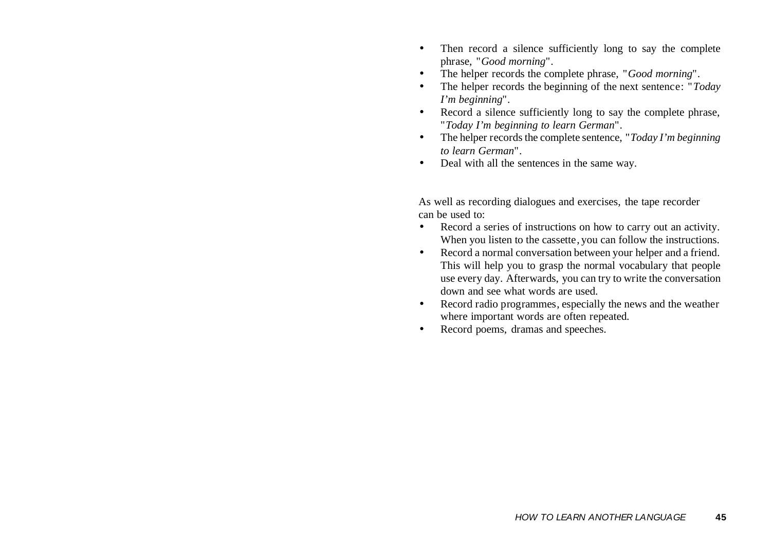- • Then record a silence sufficiently long to say the complete phrase, "*Good morning*".
- •The helper records the complete phrase, "*Good morning*".
- • The helper records the beginning of the next sentence: "*Today I'm beginning*".
- $\bullet$  Record a silence sufficiently long to say the complete phrase, "*Today I'm beginning to learn German*".
- • The helper records the complete sentence, "*Today I'm beginning to learn German*".
- •Deal with all the sentences in the same way.

As well as recording dialogues and exercises, the tape recorder can be used to:

- • Record a series of instructions on how to carry out an activity. When you listen to the cassette, you can follow the instructions.
- $\bullet$  Record a normal conversation between your helper and a friend. This will help you to grasp the normal vocabulary that people use every day. Afterwards, you can try to write the conversation down and see what words are used.
- • Record radio programmes, especially the news and the weather where important words are often repeated.
- •Record poems, dramas and speeches.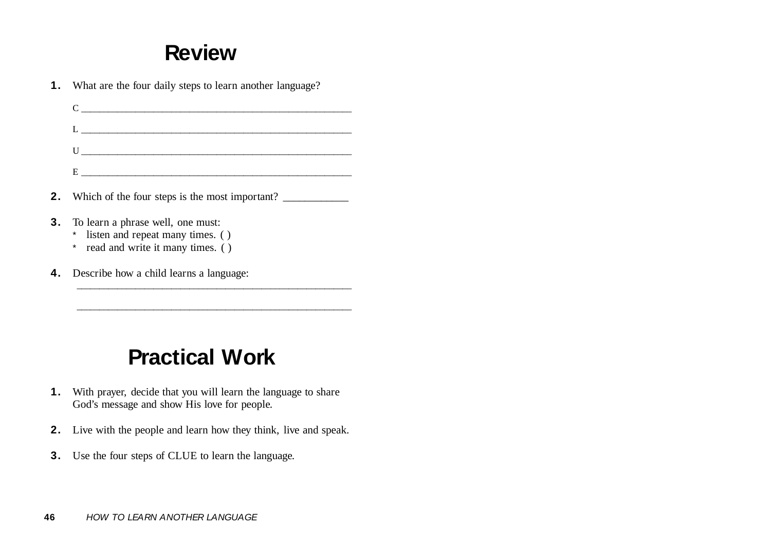## **Review**

|    | <b>1.</b> What are the four daily steps to learn another language?                                            |
|----|---------------------------------------------------------------------------------------------------------------|
|    | $C \qquad \qquad$                                                                                             |
|    |                                                                                                               |
|    | $\begin{tabular}{c} U @>>> \end{tabular}$                                                                     |
|    |                                                                                                               |
|    | <b>2.</b> Which of the four steps is the most important?                                                      |
| 3. | To learn a phrase well, one must:<br>* listen and repeat many times. ()<br>* read and write it many times. () |
| 4. | Describe how a child learns a language:                                                                       |

## **Practical Work**

- **1.** With prayer, decide that you will learn the language to share God's message and show His love for people.
- **2.** Live with the people and learn how they think, live and speak.
- **3.**Use the four steps of CLUE to learn the language.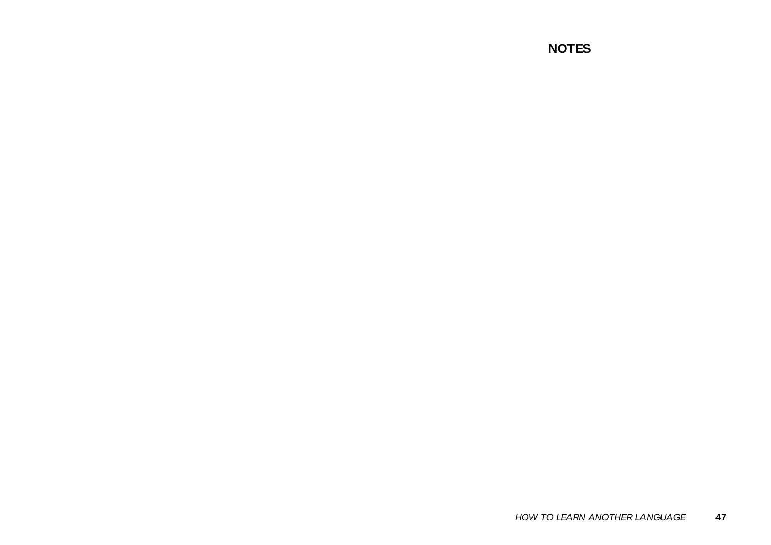### **NOTES**